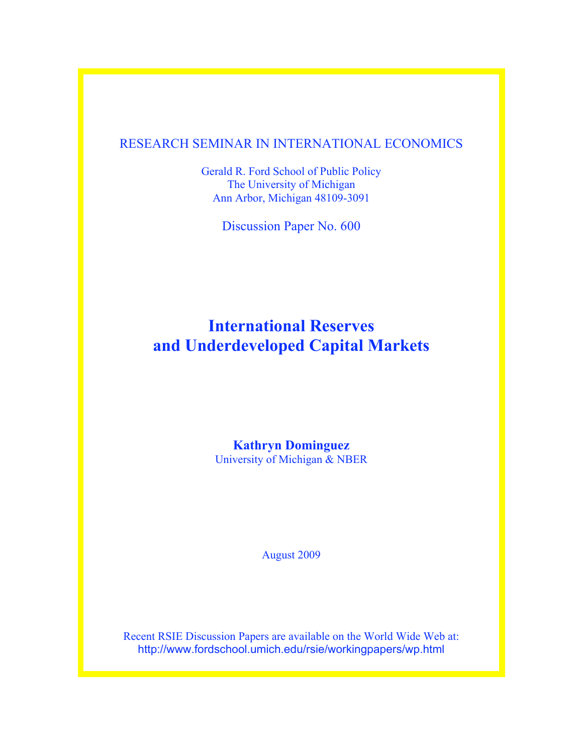## RESEARCH SEMINAR IN INTERNATIONAL ECONOMICS

Gerald R. Ford School of Public Policy The University of Michigan Ann Arbor, Michigan 48109-3091

Discussion Paper No. 600

# **International Reserves and Underdeveloped Capital Markets**

## **Kathryn Dominguez**

University of Michigan & NBER

August 2009

Recent RSIE Discussion Papers are available on the World Wide Web at: http://www.fordschool.umich.edu/rsie/workingpapers/wp.html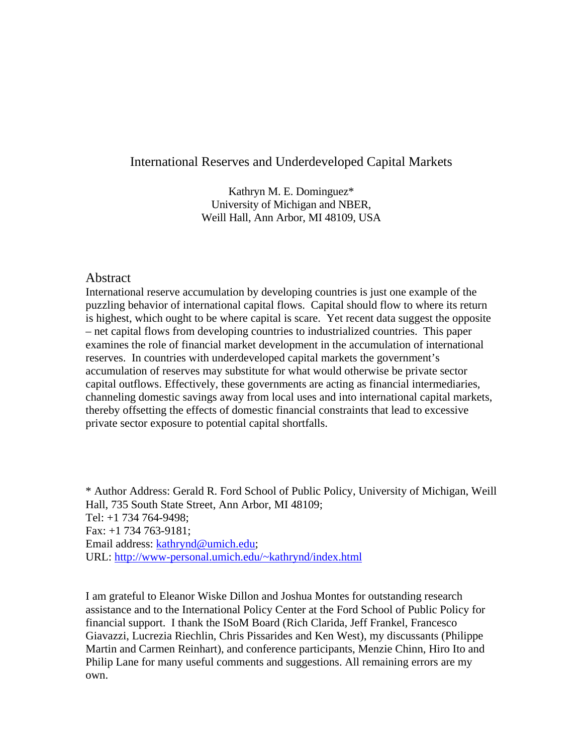## International Reserves and Underdeveloped Capital Markets

Kathryn M. E. Dominguez\* University of Michigan and NBER, Weill Hall, Ann Arbor, MI 48109, USA

#### **Abstract**

International reserve accumulation by developing countries is just one example of the puzzling behavior of international capital flows. Capital should flow to where its return is highest, which ought to be where capital is scare. Yet recent data suggest the opposite – net capital flows from developing countries to industrialized countries. This paper examines the role of financial market development in the accumulation of international reserves. In countries with underdeveloped capital markets the government's accumulation of reserves may substitute for what would otherwise be private sector capital outflows. Effectively, these governments are acting as financial intermediaries, channeling domestic savings away from local uses and into international capital markets, thereby offsetting the effects of domestic financial constraints that lead to excessive private sector exposure to potential capital shortfalls.

\* Author Address: Gerald R. Ford School of Public Policy, University of Michigan, Weill Hall, 735 South State Street, Ann Arbor, MI 48109; Tel: +1 734 764-9498; Fax: +1 734 763-9181; Email address: [kathrynd@umich.edu;](mailto:kathrynd@umich.edu) URL:<http://www-personal.umich.edu/~kathrynd/index.html>

I am grateful to Eleanor Wiske Dillon and Joshua Montes for outstanding research assistance and to the International Policy Center at the Ford School of Public Policy for financial support. I thank the ISoM Board (Rich Clarida, Jeff Frankel, Francesco Giavazzi, Lucrezia Riechlin, Chris Pissarides and Ken West), my discussants (Philippe Martin and Carmen Reinhart), and conference participants, Menzie Chinn, Hiro Ito and Philip Lane for many useful comments and suggestions. All remaining errors are my own.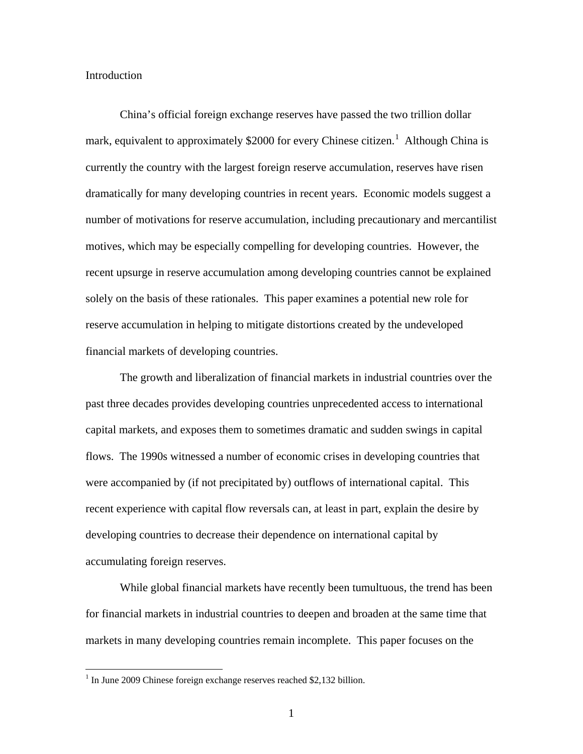#### Introduction

China's official foreign exchange reserves have passed the two trillion dollar mark, equivalent to approximately \$2000 for every Chinese citizen.<sup>[1](#page-2-0)</sup> Although China is currently the country with the largest foreign reserve accumulation, reserves have risen dramatically for many developing countries in recent years. Economic models suggest a number of motivations for reserve accumulation, including precautionary and mercantilist motives, which may be especially compelling for developing countries. However, the recent upsurge in reserve accumulation among developing countries cannot be explained solely on the basis of these rationales. This paper examines a potential new role for reserve accumulation in helping to mitigate distortions created by the undeveloped financial markets of developing countries.

The growth and liberalization of financial markets in industrial countries over the past three decades provides developing countries unprecedented access to international capital markets, and exposes them to sometimes dramatic and sudden swings in capital flows. The 1990s witnessed a number of economic crises in developing countries that were accompanied by (if not precipitated by) outflows of international capital. This recent experience with capital flow reversals can, at least in part, explain the desire by developing countries to decrease their dependence on international capital by accumulating foreign reserves.

While global financial markets have recently been tumultuous, the trend has been for financial markets in industrial countries to deepen and broaden at the same time that markets in many developing countries remain incomplete. This paper focuses on the

<span id="page-2-0"></span> $1$  In June 2009 Chinese foreign exchange reserves reached \$2,132 billion.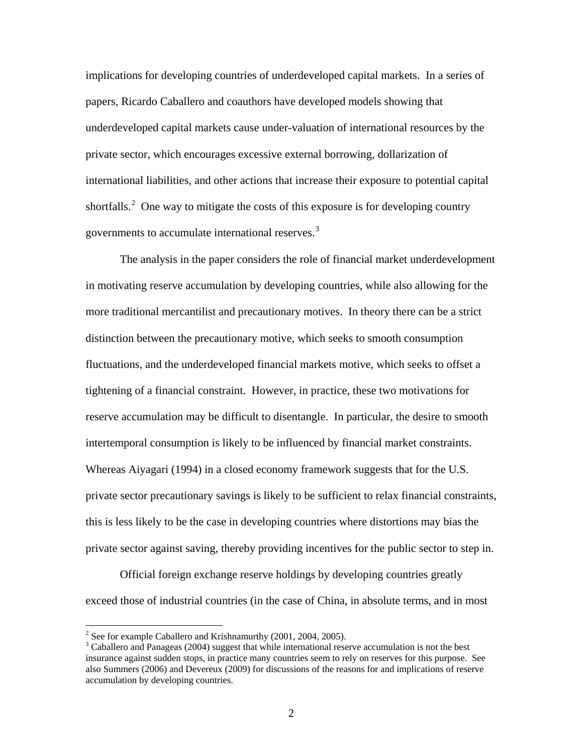implications for developing countries of underdeveloped capital markets. In a series of papers, Ricardo Caballero and coauthors have developed models showing that underdeveloped capital markets cause under-valuation of international resources by the private sector, which encourages excessive external borrowing, dollarization of international liabilities, and other actions that increase their exposure to potential capital shortfalls.<sup>[2](#page-3-0)</sup> One way to mitigate the costs of this exposure is for developing country governments to accumulate international reserves.<sup>[3](#page-3-1)</sup>

The analysis in the paper considers the role of financial market underdevelopment in motivating reserve accumulation by developing countries, while also allowing for the more traditional mercantilist and precautionary motives. In theory there can be a strict distinction between the precautionary motive, which seeks to smooth consumption fluctuations, and the underdeveloped financial markets motive, which seeks to offset a tightening of a financial constraint. However, in practice, these two motivations for reserve accumulation may be difficult to disentangle. In particular, the desire to smooth intertemporal consumption is likely to be influenced by financial market constraints. Whereas Aiyagari (1994) in a closed economy framework suggests that for the U.S. private sector precautionary savings is likely to be sufficient to relax financial constraints, this is less likely to be the case in developing countries where distortions may bias the private sector against saving, thereby providing incentives for the public sector to step in.

Official foreign exchange reserve holdings by developing countries greatly exceed those of industrial countries (in the case of China, in absolute terms, and in most

<span id="page-3-0"></span><sup>&</sup>lt;sup>2</sup> See for example Caballero and Krishnamurthy (2001, 2004, 2005).

<span id="page-3-1"></span><sup>&</sup>lt;sup>3</sup> Caballero and Panageas (2004) suggest that while international reserve accumulation is not the best insurance against sudden stops, in practice many countries seem to rely on reserves for this purpose. See also Summers (2006) and Devereux (2009) for discussions of the reasons for and implications of reserve accumulation by developing countries.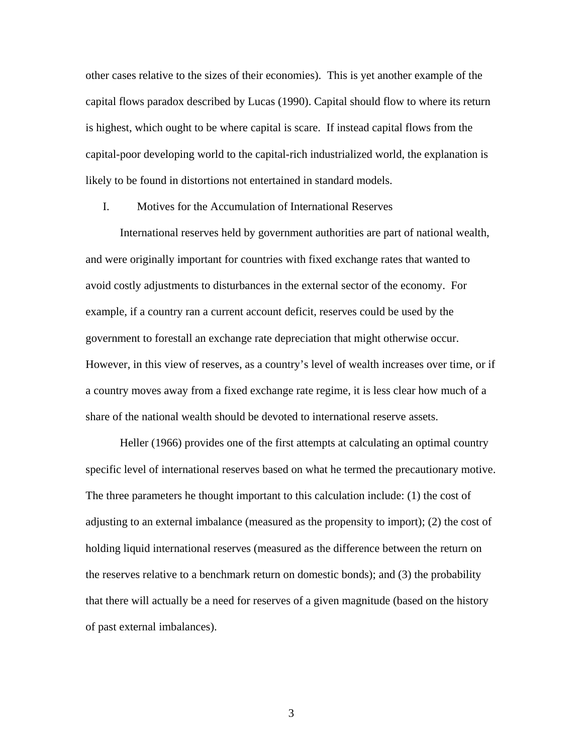other cases relative to the sizes of their economies). This is yet another example of the capital flows paradox described by Lucas (1990). Capital should flow to where its return is highest, which ought to be where capital is scare. If instead capital flows from the capital-poor developing world to the capital-rich industrialized world, the explanation is likely to be found in distortions not entertained in standard models.

#### I. Motives for the Accumulation of International Reserves

International reserves held by government authorities are part of national wealth, and were originally important for countries with fixed exchange rates that wanted to avoid costly adjustments to disturbances in the external sector of the economy. For example, if a country ran a current account deficit, reserves could be used by the government to forestall an exchange rate depreciation that might otherwise occur. However, in this view of reserves, as a country's level of wealth increases over time, or if a country moves away from a fixed exchange rate regime, it is less clear how much of a share of the national wealth should be devoted to international reserve assets.

Heller (1966) provides one of the first attempts at calculating an optimal country specific level of international reserves based on what he termed the precautionary motive. The three parameters he thought important to this calculation include: (1) the cost of adjusting to an external imbalance (measured as the propensity to import); (2) the cost of holding liquid international reserves (measured as the difference between the return on the reserves relative to a benchmark return on domestic bonds); and (3) the probability that there will actually be a need for reserves of a given magnitude (based on the history of past external imbalances).

3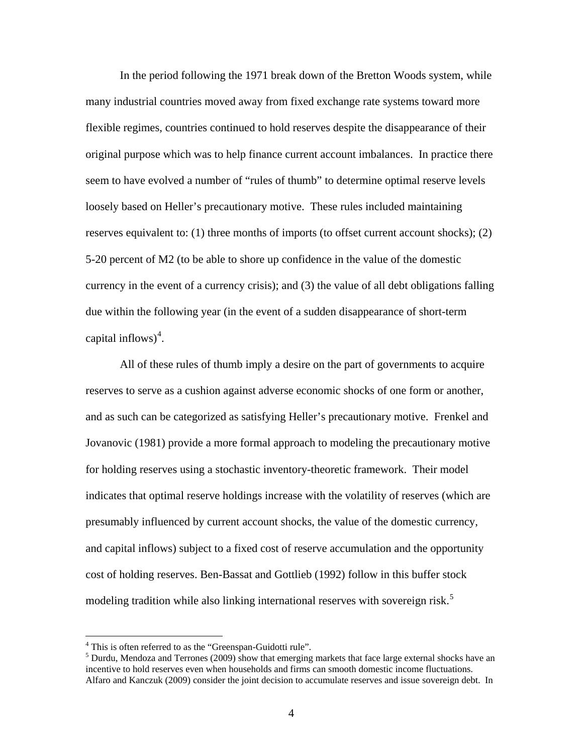In the period following the 1971 break down of the Bretton Woods system, while many industrial countries moved away from fixed exchange rate systems toward more flexible regimes, countries continued to hold reserves despite the disappearance of their original purpose which was to help finance current account imbalances. In practice there seem to have evolved a number of "rules of thumb" to determine optimal reserve levels loosely based on Heller's precautionary motive. These rules included maintaining reserves equivalent to: (1) three months of imports (to offset current account shocks); (2) 5-20 percent of M2 (to be able to shore up confidence in the value of the domestic currency in the event of a currency crisis); and (3) the value of all debt obligations falling due within the following year (in the event of a sudden disappearance of short-term capital inflows) [4](#page-5-0) .

All of these rules of thumb imply a desire on the part of governments to acquire reserves to serve as a cushion against adverse economic shocks of one form or another, and as such can be categorized as satisfying Heller's precautionary motive. Frenkel and Jovanovic (1981) provide a more formal approach to modeling the precautionary motive for holding reserves using a stochastic inventory-theoretic framework. Their model indicates that optimal reserve holdings increase with the volatility of reserves (which are presumably influenced by current account shocks, the value of the domestic currency, and capital inflows) subject to a fixed cost of reserve accumulation and the opportunity cost of holding reserves. Ben-Bassat and Gottlieb (1992) follow in this buffer stock modeling tradition while also linking international reserves with sovereign risk.<sup>[5](#page-5-1)</sup>

<span id="page-5-1"></span><span id="page-5-0"></span> $^{4}$  This is often referred to as the "Greenspan-Guidotti rule".<br><sup>5</sup> Durdu, Mendoza and Terrones (2009) show that emerging markets that face large external shocks have an incentive to hold reserves even when households and firms can smooth domestic income fluctuations. Alfaro and Kanczuk (2009) consider the joint decision to accumulate reserves and issue sovereign debt. In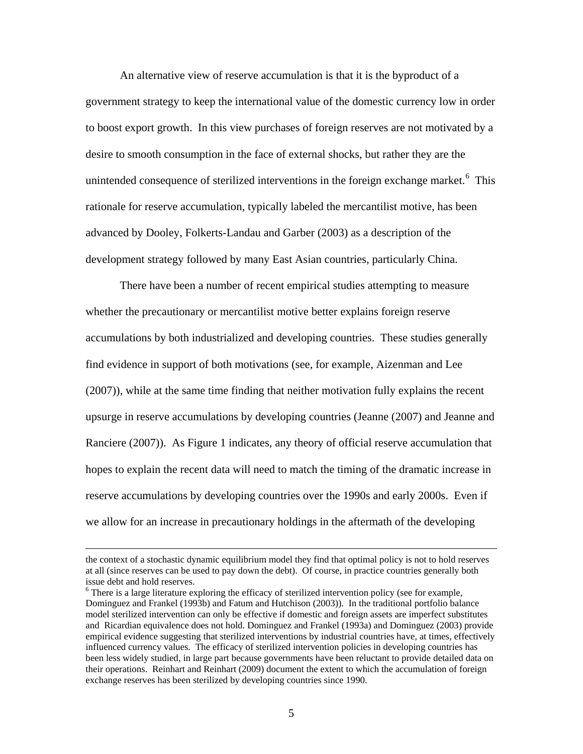An alternative view of reserve accumulation is that it is the byproduct of a government strategy to keep the international value of the domestic currency low in order to boost export growth. In this view purchases of foreign reserves are not motivated by a desire to smooth consumption in the face of external shocks, but rather they are the unintended consequence of sterilized interventions in the foreign exchange market.<sup>[6](#page-6-0)</sup> This rationale for reserve accumulation, typically labeled the mercantilist motive, has been advanced by Dooley, Folkerts-Landau and Garber (2003) as a description of the development strategy followed by many East Asian countries, particularly China.

There have been a number of recent empirical studies attempting to measure whether the precautionary or mercantilist motive better explains foreign reserve accumulations by both industrialized and developing countries. These studies generally find evidence in support of both motivations (see, for example, Aizenman and Lee (2007)), while at the same time finding that neither motivation fully explains the recent upsurge in reserve accumulations by developing countries (Jeanne (2007) and Jeanne and Ranciere (2007)). As Figure 1 indicates, any theory of official reserve accumulation that hopes to explain the recent data will need to match the timing of the dramatic increase in reserve accumulations by developing countries over the 1990s and early 2000s. Even if we allow for an increase in precautionary holdings in the aftermath of the developing

the context of a stochastic dynamic equilibrium model they find that optimal policy is not to hold reserves at all (since reserves can be used to pay down the debt). Of course, in practice countries generally both issue debt and hold reserves.<br><sup>6</sup> There is a large literature exploring the efficacy of sterilized intervention policy (see for example,

<span id="page-6-0"></span>Dominguez and Frankel (1993b) and Fatum and Hutchison (2003)). In the traditional portfolio balance model sterilized intervention can only be effective if domestic and foreign assets are imperfect substitutes and Ricardian equivalence does not hold. Dominguez and Frankel (1993a) and Dominguez (2003) provide empirical evidence suggesting that sterilized interventions by industrial countries have, at times, effectively influenced currency values. The efficacy of sterilized intervention policies in developing countries has been less widely studied, in large part because governments have been reluctant to provide detailed data on their operations. Reinhart and Reinhart (2009) document the extent to which the accumulation of foreign exchange reserves has been sterilized by developing countries since 1990.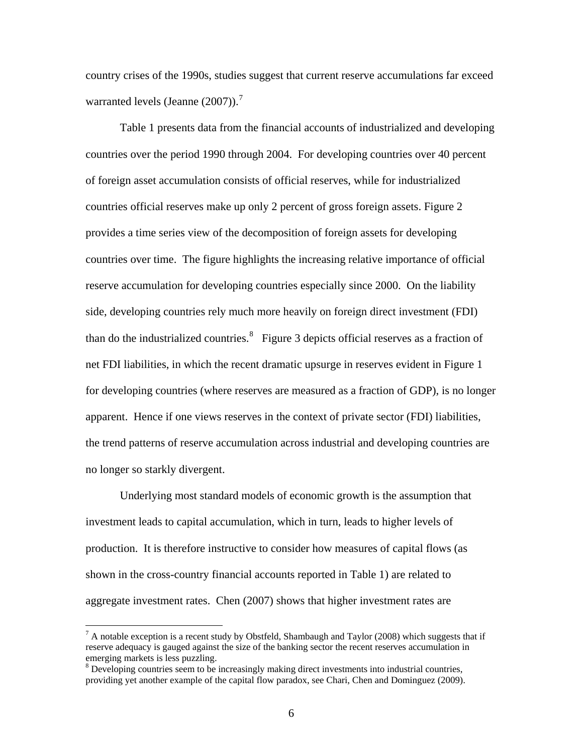country crises of the 1990s, studies suggest that current reserve accumulations far exceed warranted levels (Jeanne  $(2007)$  $(2007)$  $(2007)$ ).

Table 1 presents data from the financial accounts of industrialized and developing countries over the period 1990 through 2004. For developing countries over 40 percent of foreign asset accumulation consists of official reserves, while for industrialized countries official reserves make up only 2 percent of gross foreign assets. Figure 2 provides a time series view of the decomposition of foreign assets for developing countries over time. The figure highlights the increasing relative importance of official reserve accumulation for developing countries especially since 2000. On the liability side, developing countries rely much more heavily on foreign direct investment (FDI) than do the industrialized countries. $8$  Figure 3 depicts official reserves as a fraction of net FDI liabilities, in which the recent dramatic upsurge in reserves evident in Figure 1 for developing countries (where reserves are measured as a fraction of GDP), is no longer apparent. Hence if one views reserves in the context of private sector (FDI) liabilities, the trend patterns of reserve accumulation across industrial and developing countries are no longer so starkly divergent.

Underlying most standard models of economic growth is the assumption that investment leads to capital accumulation, which in turn, leads to higher levels of production. It is therefore instructive to consider how measures of capital flows (as shown in the cross-country financial accounts reported in Table 1) are related to aggregate investment rates. Chen (2007) shows that higher investment rates are

<span id="page-7-0"></span> $7$  A notable exception is a recent study by Obstfeld, Shambaugh and Taylor (2008) which suggests that if reserve adequacy is gauged against the size of the banking sector the recent reserves accumulation in emerging markets is less puzzling.

<span id="page-7-1"></span><sup>&</sup>lt;sup>8</sup> Developing countries seem to be increasingly making direct investments into industrial countries, providing yet another example of the capital flow paradox, see Chari, Chen and Dominguez (2009).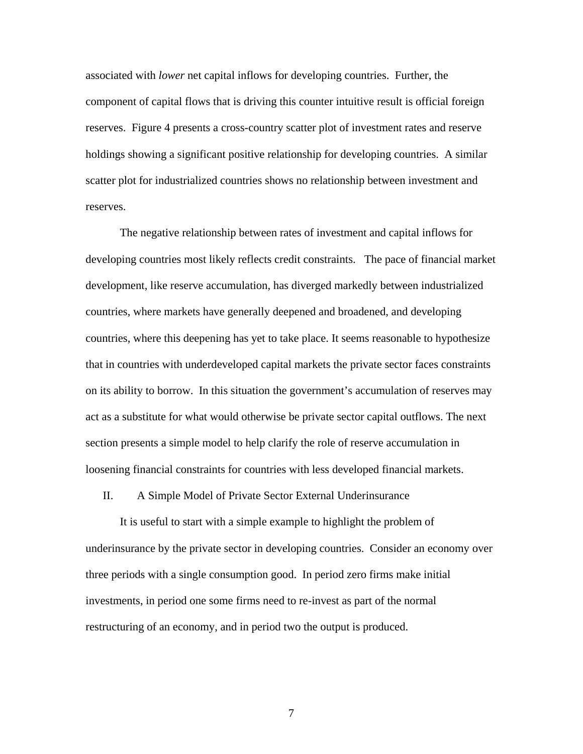associated with *lower* net capital inflows for developing countries. Further, the component of capital flows that is driving this counter intuitive result is official foreign reserves. Figure 4 presents a cross-country scatter plot of investment rates and reserve holdings showing a significant positive relationship for developing countries. A similar scatter plot for industrialized countries shows no relationship between investment and reserves.

The negative relationship between rates of investment and capital inflows for developing countries most likely reflects credit constraints. The pace of financial market development, like reserve accumulation, has diverged markedly between industrialized countries, where markets have generally deepened and broadened, and developing countries, where this deepening has yet to take place. It seems reasonable to hypothesize that in countries with underdeveloped capital markets the private sector faces constraints on its ability to borrow. In this situation the government's accumulation of reserves may act as a substitute for what would otherwise be private sector capital outflows. The next section presents a simple model to help clarify the role of reserve accumulation in loosening financial constraints for countries with less developed financial markets.

II. A Simple Model of Private Sector External Underinsurance

It is useful to start with a simple example to highlight the problem of underinsurance by the private sector in developing countries. Consider an economy over three periods with a single consumption good. In period zero firms make initial investments, in period one some firms need to re-invest as part of the normal restructuring of an economy, and in period two the output is produced.

7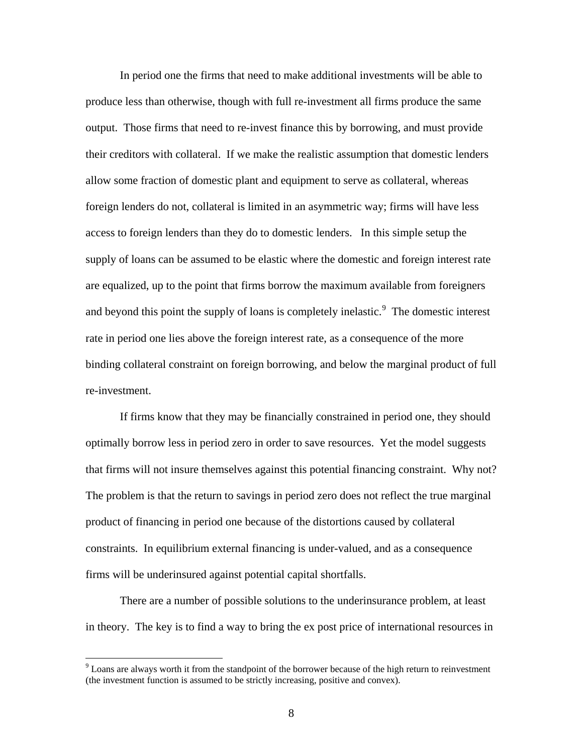In period one the firms that need to make additional investments will be able to produce less than otherwise, though with full re-investment all firms produce the same output. Those firms that need to re-invest finance this by borrowing, and must provide their creditors with collateral. If we make the realistic assumption that domestic lenders allow some fraction of domestic plant and equipment to serve as collateral, whereas foreign lenders do not, collateral is limited in an asymmetric way; firms will have less access to foreign lenders than they do to domestic lenders. In this simple setup the supply of loans can be assumed to be elastic where the domestic and foreign interest rate are equalized, up to the point that firms borrow the maximum available from foreigners and beyond this point the supply of loans is completely inelastic.<sup>[9](#page-9-0)</sup> The domestic interest rate in period one lies above the foreign interest rate, as a consequence of the more binding collateral constraint on foreign borrowing, and below the marginal product of full re-investment.

If firms know that they may be financially constrained in period one, they should optimally borrow less in period zero in order to save resources. Yet the model suggests that firms will not insure themselves against this potential financing constraint. Why not? The problem is that the return to savings in period zero does not reflect the true marginal product of financing in period one because of the distortions caused by collateral constraints. In equilibrium external financing is under-valued, and as a consequence firms will be underinsured against potential capital shortfalls.

There are a number of possible solutions to the underinsurance problem, at least in theory. The key is to find a way to bring the ex post price of international resources in

<span id="page-9-0"></span> $9$  Loans are always worth it from the standpoint of the borrower because of the high return to reinvestment (the investment function is assumed to be strictly increasing, positive and convex).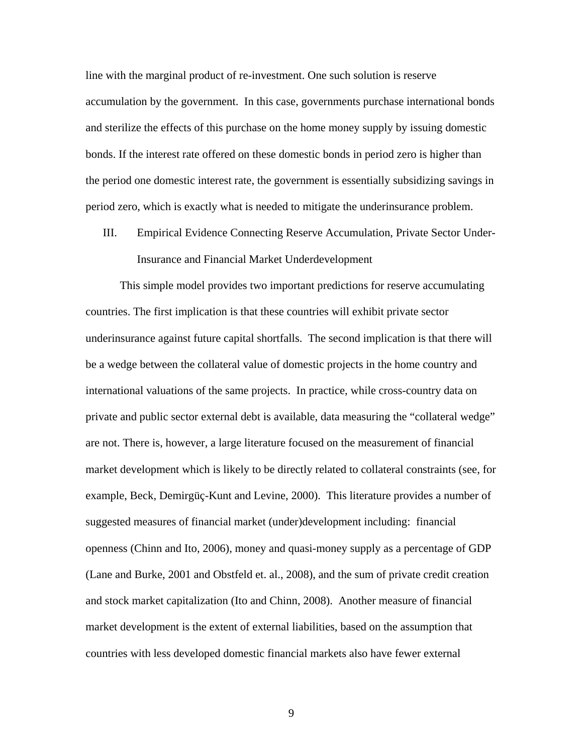line with the marginal product of re-investment. One such solution is reserve accumulation by the government. In this case, governments purchase international bonds and sterilize the effects of this purchase on the home money supply by issuing domestic bonds. If the interest rate offered on these domestic bonds in period zero is higher than the period one domestic interest rate, the government is essentially subsidizing savings in period zero, which is exactly what is needed to mitigate the underinsurance problem.

III. Empirical Evidence Connecting Reserve Accumulation, Private Sector Under-Insurance and Financial Market Underdevelopment

This simple model provides two important predictions for reserve accumulating countries. The first implication is that these countries will exhibit private sector underinsurance against future capital shortfalls. The second implication is that there will be a wedge between the collateral value of domestic projects in the home country and international valuations of the same projects. In practice, while cross-country data on private and public sector external debt is available, data measuring the "collateral wedge" are not. There is, however, a large literature focused on the measurement of financial market development which is likely to be directly related to collateral constraints (see, for example, Beck, Demirgüç-Kunt and Levine, 2000). This literature provides a number of suggested measures of financial market (under)development including: financial openness (Chinn and Ito, 2006), money and quasi-money supply as a percentage of GDP (Lane and Burke, 2001 and Obstfeld et. al., 2008), and the sum of private credit creation and stock market capitalization (Ito and Chinn, 2008). Another measure of financial market development is the extent of external liabilities, based on the assumption that countries with less developed domestic financial markets also have fewer external

9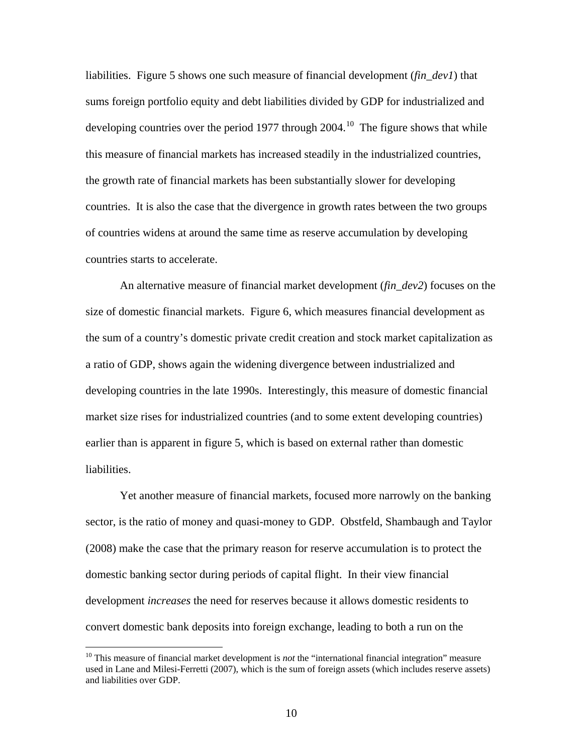liabilities. Figure 5 shows one such measure of financial development (*fin\_dev1*) that sums foreign portfolio equity and debt liabilities divided by GDP for industrialized and developing countries over the period 1977 through  $2004$ .<sup>[10](#page-11-0)</sup> The figure shows that while this measure of financial markets has increased steadily in the industrialized countries, the growth rate of financial markets has been substantially slower for developing countries. It is also the case that the divergence in growth rates between the two groups of countries widens at around the same time as reserve accumulation by developing countries starts to accelerate.

An alternative measure of financial market development (*fin\_dev2*) focuses on the size of domestic financial markets. Figure 6, which measures financial development as the sum of a country's domestic private credit creation and stock market capitalization as a ratio of GDP, shows again the widening divergence between industrialized and developing countries in the late 1990s. Interestingly, this measure of domestic financial market size rises for industrialized countries (and to some extent developing countries) earlier than is apparent in figure 5, which is based on external rather than domestic liabilities.

Yet another measure of financial markets, focused more narrowly on the banking sector, is the ratio of money and quasi-money to GDP. Obstfeld, Shambaugh and Taylor (2008) make the case that the primary reason for reserve accumulation is to protect the domestic banking sector during periods of capital flight. In their view financial development *increases* the need for reserves because it allows domestic residents to convert domestic bank deposits into foreign exchange, leading to both a run on the

<span id="page-11-0"></span><sup>&</sup>lt;sup>10</sup> This measure of financial market development is *not* the "international financial integration" measure used in Lane and Milesi-Ferretti (2007), which is the sum of foreign assets (which includes reserve assets) and liabilities over GDP.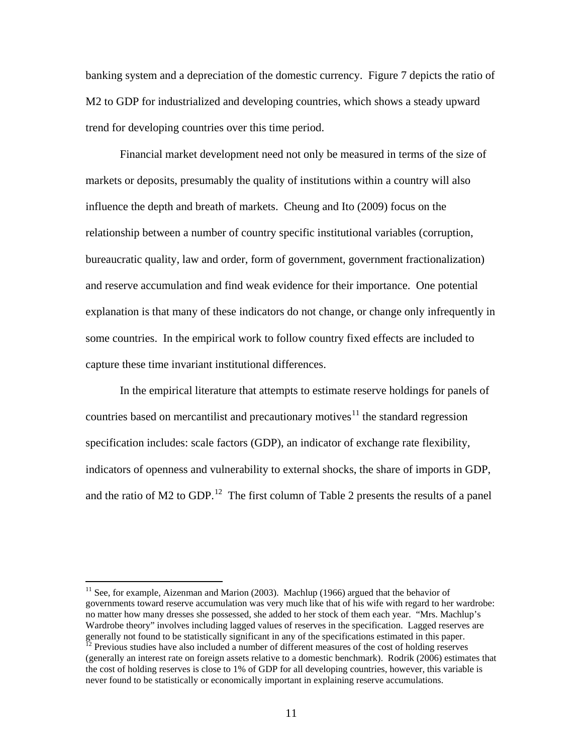banking system and a depreciation of the domestic currency. Figure 7 depicts the ratio of M2 to GDP for industrialized and developing countries, which shows a steady upward trend for developing countries over this time period.

Financial market development need not only be measured in terms of the size of markets or deposits, presumably the quality of institutions within a country will also influence the depth and breath of markets. Cheung and Ito (2009) focus on the relationship between a number of country specific institutional variables (corruption, bureaucratic quality, law and order, form of government, government fractionalization) and reserve accumulation and find weak evidence for their importance. One potential explanation is that many of these indicators do not change, or change only infrequently in some countries. In the empirical work to follow country fixed effects are included to capture these time invariant institutional differences.

In the empirical literature that attempts to estimate reserve holdings for panels of countries based on mercantilist and precautionary motives<sup>[11](#page-12-0)</sup> the standard regression specification includes: scale factors (GDP), an indicator of exchange rate flexibility, indicators of openness and vulnerability to external shocks, the share of imports in GDP, and the ratio of M2 to GDP.<sup>[12](#page-12-1)</sup> The first column of Table 2 presents the results of a panel

<span id="page-12-0"></span> $11$  See, for example, Aizenman and Marion (2003). Machlup (1966) argued that the behavior of governments toward reserve accumulation was very much like that of his wife with regard to her wardrobe: no matter how many dresses she possessed, she added to her stock of them each year. "Mrs. Machlup's Wardrobe theory" involves including lagged values of reserves in the specification. Lagged reserves are generally not found to be statistically significant in any of the specifications estimated in this paper.

<span id="page-12-1"></span> $^{12}$  Previous studies have also included a number of different measures of the cost of holding reserves (generally an interest rate on foreign assets relative to a domestic benchmark). Rodrik (2006) estimates that the cost of holding reserves is close to 1% of GDP for all developing countries, however, this variable is never found to be statistically or economically important in explaining reserve accumulations.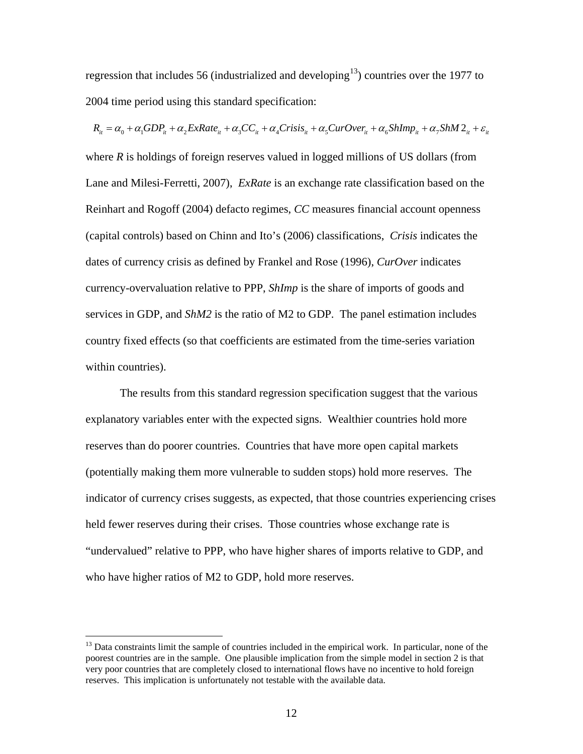regression that includes 56 (industrialized and developing<sup>13</sup>) countries over the 1977 to 2004 time period using this standard specification:

 $R_{it} = \alpha_0 + \alpha_1 GDP_{it} + \alpha_2 ExRate_{it} + \alpha_3 CC_{it} + \alpha_4 Crisis_{it} + \alpha_5 Curover_{it} + \alpha_6 ShImp_{it} + \alpha_7 ShM2_{it} + \varepsilon_{it}$ where *R* is holdings of foreign reserves valued in logged millions of US dollars (from Lane and Milesi-Ferretti, 2007), *ExRate* is an exchange rate classification based on the Reinhart and Rogoff (2004) defacto regimes, *CC* measures financial account openness (capital controls) based on Chinn and Ito's (2006) classifications, *Crisis* indicates the dates of currency crisis as defined by Frankel and Rose (1996), *CurOver* indicates currency-overvaluation relative to PPP, *ShImp* is the share of imports of goods and services in GDP, and *ShM2* is the ratio of M2 to GDP. The panel estimation includes country fixed effects (so that coefficients are estimated from the time-series variation within countries).

The results from this standard regression specification suggest that the various explanatory variables enter with the expected signs. Wealthier countries hold more reserves than do poorer countries. Countries that have more open capital markets (potentially making them more vulnerable to sudden stops) hold more reserves. The indicator of currency crises suggests, as expected, that those countries experiencing crises held fewer reserves during their crises. Those countries whose exchange rate is "undervalued" relative to PPP, who have higher shares of imports relative to GDP, and who have higher ratios of M2 to GDP, hold more reserves.

<span id="page-13-0"></span> $13$  Data constraints limit the sample of countries included in the empirical work. In particular, none of the poorest countries are in the sample. One plausible implication from the simple model in section 2 is that very poor countries that are completely closed to international flows have no incentive to hold foreign reserves. This implication is unfortunately not testable with the available data.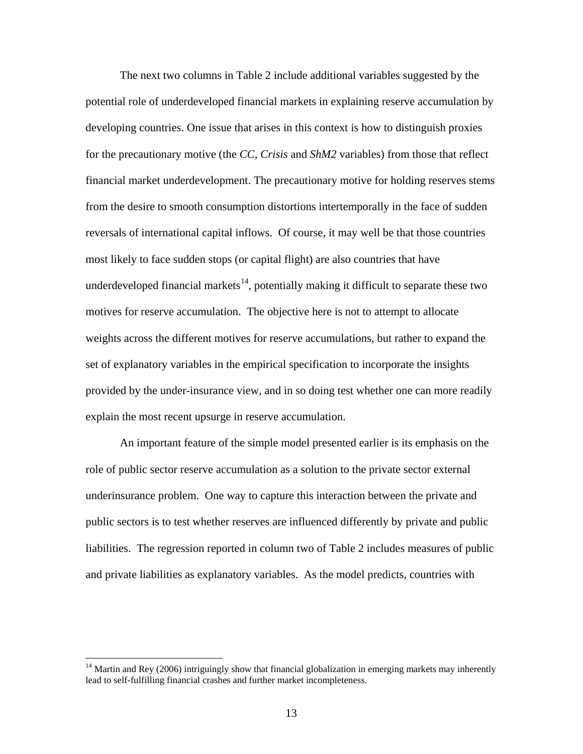The next two columns in Table 2 include additional variables suggested by the potential role of underdeveloped financial markets in explaining reserve accumulation by developing countries. One issue that arises in this context is how to distinguish proxies for the precautionary motive (the *CC*, *Crisis* and *ShM2* variables) from those that reflect financial market underdevelopment. The precautionary motive for holding reserves stems from the desire to smooth consumption distortions intertemporally in the face of sudden reversals of international capital inflows. Of course, it may well be that those countries most likely to face sudden stops (or capital flight) are also countries that have underdeveloped financial markets<sup>[14](#page-14-0)</sup>, potentially making it difficult to separate these two motives for reserve accumulation. The objective here is not to attempt to allocate weights across the different motives for reserve accumulations, but rather to expand the set of explanatory variables in the empirical specification to incorporate the insights provided by the under-insurance view, and in so doing test whether one can more readily explain the most recent upsurge in reserve accumulation.

An important feature of the simple model presented earlier is its emphasis on the role of public sector reserve accumulation as a solution to the private sector external underinsurance problem. One way to capture this interaction between the private and public sectors is to test whether reserves are influenced differently by private and public liabilities. The regression reported in column two of Table 2 includes measures of public and private liabilities as explanatory variables. As the model predicts, countries with

<span id="page-14-0"></span><sup>&</sup>lt;sup>14</sup> Martin and Rey (2006) intriguingly show that financial globalization in emerging markets may inherently lead to self-fulfilling financial crashes and further market incompleteness.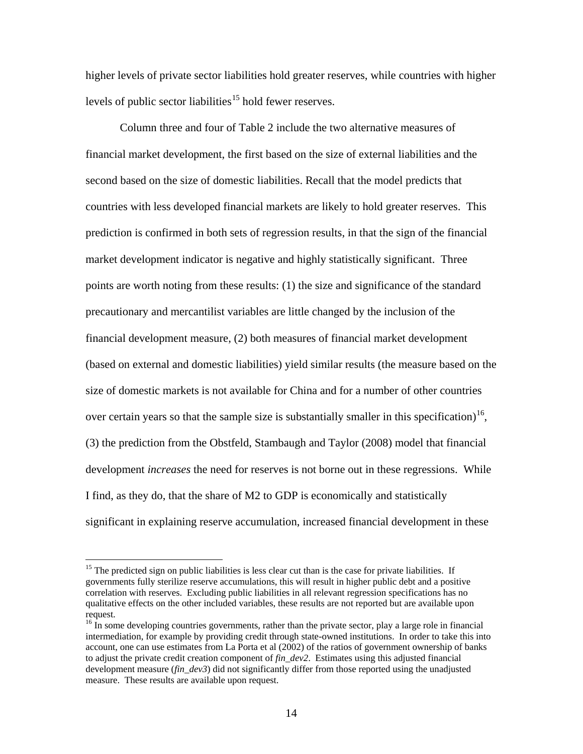higher levels of private sector liabilities hold greater reserves, while countries with higher levels of public sector liabilities<sup>[15](#page-15-0)</sup> hold fewer reserves.

Column three and four of Table 2 include the two alternative measures of financial market development, the first based on the size of external liabilities and the second based on the size of domestic liabilities. Recall that the model predicts that countries with less developed financial markets are likely to hold greater reserves. This prediction is confirmed in both sets of regression results, in that the sign of the financial market development indicator is negative and highly statistically significant. Three points are worth noting from these results: (1) the size and significance of the standard precautionary and mercantilist variables are little changed by the inclusion of the financial development measure, (2) both measures of financial market development (based on external and domestic liabilities) yield similar results (the measure based on the size of domestic markets is not available for China and for a number of other countries over certain years so that the sample size is substantially smaller in this specification)<sup>[16](#page-15-1)</sup>, (3) the prediction from the Obstfeld, Stambaugh and Taylor (2008) model that financial development *increases* the need for reserves is not borne out in these regressions. While I find, as they do, that the share of M2 to GDP is economically and statistically significant in explaining reserve accumulation, increased financial development in these

<span id="page-15-0"></span><sup>&</sup>lt;sup>15</sup> The predicted sign on public liabilities is less clear cut than is the case for private liabilities. If governments fully sterilize reserve accumulations, this will result in higher public debt and a positive correlation with reserves. Excluding public liabilities in all relevant regression specifications has no qualitative effects on the other included variables, these results are not reported but are available upon request.

<span id="page-15-1"></span><sup>&</sup>lt;sup>16</sup> In some developing countries governments, rather than the private sector, play a large role in financial intermediation, for example by providing credit through state-owned institutions. In order to take this into account, one can use estimates from La Porta et al (2002) of the ratios of government ownership of banks to adjust the private credit creation component of *fin\_dev2*. Estimates using this adjusted financial development measure (*fin\_dev3*) did not significantly differ from those reported using the unadjusted measure. These results are available upon request.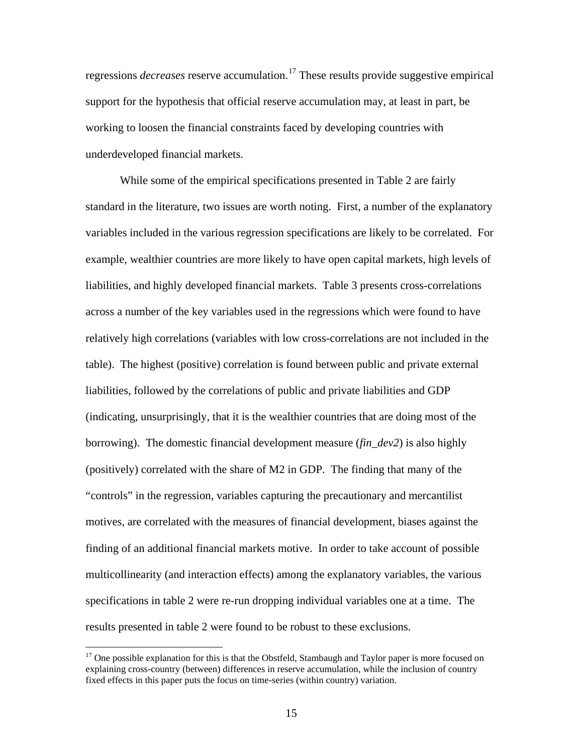regressions *decreases* reserve accumulation.<sup>[17](#page-16-0)</sup> These results provide suggestive empirical support for the hypothesis that official reserve accumulation may, at least in part, be working to loosen the financial constraints faced by developing countries with underdeveloped financial markets.

While some of the empirical specifications presented in Table 2 are fairly standard in the literature, two issues are worth noting. First, a number of the explanatory variables included in the various regression specifications are likely to be correlated. For example, wealthier countries are more likely to have open capital markets, high levels of liabilities, and highly developed financial markets. Table 3 presents cross-correlations across a number of the key variables used in the regressions which were found to have relatively high correlations (variables with low cross-correlations are not included in the table). The highest (positive) correlation is found between public and private external liabilities, followed by the correlations of public and private liabilities and GDP (indicating, unsurprisingly, that it is the wealthier countries that are doing most of the borrowing). The domestic financial development measure (*fin\_dev2*) is also highly (positively) correlated with the share of M2 in GDP. The finding that many of the "controls" in the regression, variables capturing the precautionary and mercantilist motives, are correlated with the measures of financial development, biases against the finding of an additional financial markets motive. In order to take account of possible multicollinearity (and interaction effects) among the explanatory variables, the various specifications in table 2 were re-run dropping individual variables one at a time. The results presented in table 2 were found to be robust to these exclusions.

<span id="page-16-0"></span><sup>&</sup>lt;sup>17</sup> One possible explanation for this is that the Obstfeld, Stambaugh and Taylor paper is more focused on explaining cross-country (between) differences in reserve accumulation, while the inclusion of country fixed effects in this paper puts the focus on time-series (within country) variation.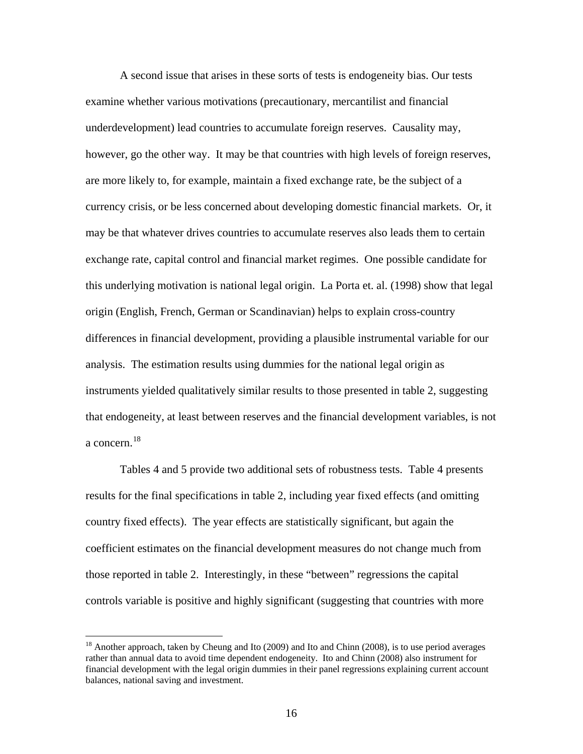A second issue that arises in these sorts of tests is endogeneity bias. Our tests examine whether various motivations (precautionary, mercantilist and financial underdevelopment) lead countries to accumulate foreign reserves. Causality may, however, go the other way. It may be that countries with high levels of foreign reserves, are more likely to, for example, maintain a fixed exchange rate, be the subject of a currency crisis, or be less concerned about developing domestic financial markets. Or, it may be that whatever drives countries to accumulate reserves also leads them to certain exchange rate, capital control and financial market regimes. One possible candidate for this underlying motivation is national legal origin. La Porta et. al. (1998) show that legal origin (English, French, German or Scandinavian) helps to explain cross-country differences in financial development, providing a plausible instrumental variable for our analysis. The estimation results using dummies for the national legal origin as instruments yielded qualitatively similar results to those presented in table 2, suggesting that endogeneity, at least between reserves and the financial development variables, is not a concern. $18$ 

Tables 4 and 5 provide two additional sets of robustness tests. Table 4 presents results for the final specifications in table 2, including year fixed effects (and omitting country fixed effects). The year effects are statistically significant, but again the coefficient estimates on the financial development measures do not change much from those reported in table 2. Interestingly, in these "between" regressions the capital controls variable is positive and highly significant (suggesting that countries with more

<span id="page-17-0"></span><sup>&</sup>lt;sup>18</sup> Another approach, taken by Cheung and Ito (2009) and Ito and Chinn (2008), is to use period averages rather than annual data to avoid time dependent endogeneity. Ito and Chinn (2008) also instrument for financial development with the legal origin dummies in their panel regressions explaining current account balances, national saving and investment.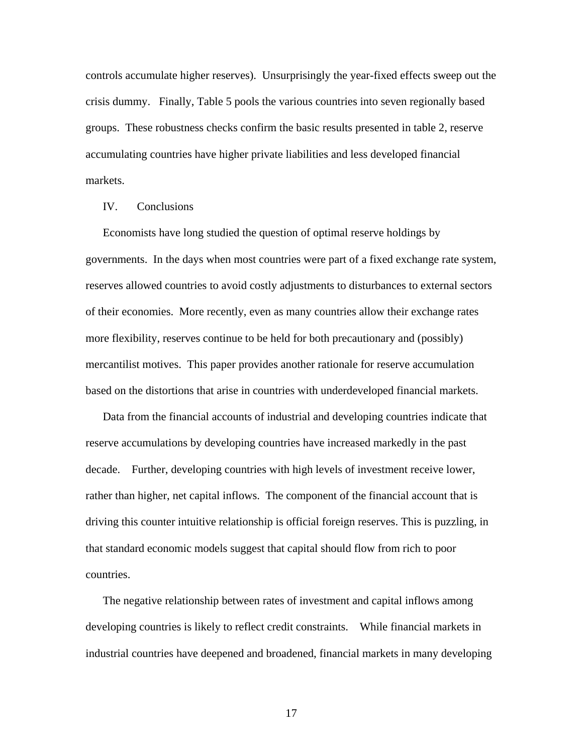controls accumulate higher reserves). Unsurprisingly the year-fixed effects sweep out the crisis dummy. Finally, Table 5 pools the various countries into seven regionally based groups. These robustness checks confirm the basic results presented in table 2, reserve accumulating countries have higher private liabilities and less developed financial markets.

#### IV. Conclusions

Economists have long studied the question of optimal reserve holdings by governments. In the days when most countries were part of a fixed exchange rate system, reserves allowed countries to avoid costly adjustments to disturbances to external sectors of their economies. More recently, even as many countries allow their exchange rates more flexibility, reserves continue to be held for both precautionary and (possibly) mercantilist motives. This paper provides another rationale for reserve accumulation based on the distortions that arise in countries with underdeveloped financial markets.

Data from the financial accounts of industrial and developing countries indicate that reserve accumulations by developing countries have increased markedly in the past decade. Further, developing countries with high levels of investment receive lower, rather than higher, net capital inflows. The component of the financial account that is driving this counter intuitive relationship is official foreign reserves. This is puzzling, in that standard economic models suggest that capital should flow from rich to poor countries.

The negative relationship between rates of investment and capital inflows among developing countries is likely to reflect credit constraints. While financial markets in industrial countries have deepened and broadened, financial markets in many developing

17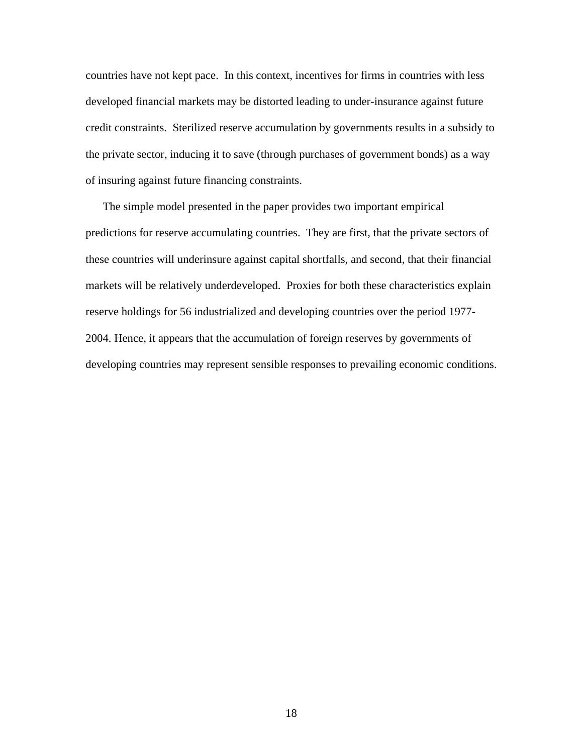countries have not kept pace. In this context, incentives for firms in countries with less developed financial markets may be distorted leading to under-insurance against future credit constraints. Sterilized reserve accumulation by governments results in a subsidy to the private sector, inducing it to save (through purchases of government bonds) as a way of insuring against future financing constraints.

The simple model presented in the paper provides two important empirical predictions for reserve accumulating countries. They are first, that the private sectors of these countries will underinsure against capital shortfalls, and second, that their financial markets will be relatively underdeveloped. Proxies for both these characteristics explain reserve holdings for 56 industrialized and developing countries over the period 1977- 2004. Hence, it appears that the accumulation of foreign reserves by governments of developing countries may represent sensible responses to prevailing economic conditions.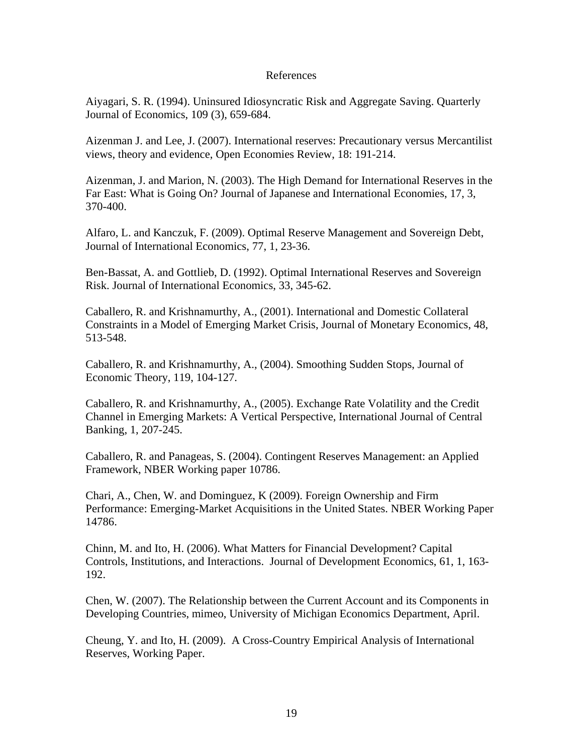#### References

Aiyagari, S. R. (1994). Uninsured Idiosyncratic Risk and Aggregate Saving. Quarterly Journal of Economics, 109 (3), 659-684.

Aizenman J. and Lee, J. (2007). International reserves: Precautionary versus Mercantilist views, theory and evidence, Open Economies Review, 18: 191-214.

Aizenman, J. and Marion, N. (2003). The High Demand for International Reserves in the Far East: What is Going On? Journal of Japanese and International Economies, 17, 3, 370-400.

Alfaro, L. and Kanczuk, F. (2009). Optimal Reserve Management and Sovereign Debt, Journal of International Economics, 77, 1, 23-36.

Ben-Bassat, A. and Gottlieb, D. (1992). Optimal International Reserves and Sovereign Risk. Journal of International Economics, 33, 345-62.

Caballero, R. and Krishnamurthy, A., (2001). International and Domestic Collateral Constraints in a Model of Emerging Market Crisis, Journal of Monetary Economics, 48, 513-548.

Caballero, R. and Krishnamurthy, A., (2004). Smoothing Sudden Stops, Journal of Economic Theory, 119, 104-127.

Caballero, R. and Krishnamurthy, A., (2005). Exchange Rate Volatility and the Credit Channel in Emerging Markets: A Vertical Perspective, International Journal of Central Banking, 1, 207-245.

Caballero, R. and Panageas, S. (2004). Contingent Reserves Management: an Applied Framework, NBER Working paper 10786.

Chari, A., Chen, W. and Dominguez, K (2009). Foreign Ownership and Firm Performance: Emerging-Market Acquisitions in the United States. NBER Working Paper 14786.

Chinn, M. and Ito, H. (2006). What Matters for Financial Development? Capital Controls, Institutions, and Interactions. Journal of Development Economics, 61, 1, 163- 192.

Chen, W. (2007). The Relationship between the Current Account and its Components in Developing Countries, mimeo, University of Michigan Economics Department, April.

Cheung, Y. and Ito, H. (2009). A Cross-Country Empirical Analysis of International Reserves, Working Paper.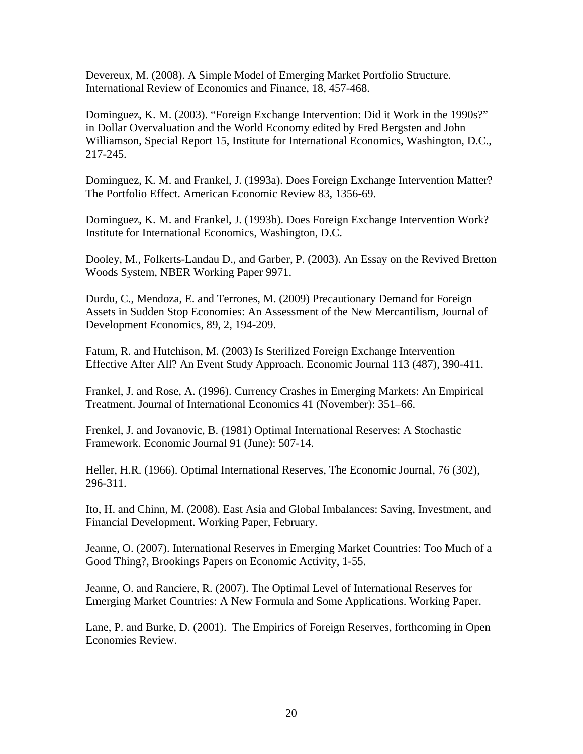Devereux, M. (2008). A Simple Model of Emerging Market Portfolio Structure. International Review of Economics and Finance, 18, 457-468.

Dominguez, K. M. (2003). "Foreign Exchange Intervention: Did it Work in the 1990s?" in Dollar Overvaluation and the World Economy edited by Fred Bergsten and John Williamson, Special Report 15, Institute for International Economics, Washington, D.C., 217-245.

Dominguez, K. M. and Frankel, J. (1993a). Does Foreign Exchange Intervention Matter? The Portfolio Effect. American Economic Review 83, 1356-69.

Dominguez, K. M. and Frankel, J. (1993b). Does Foreign Exchange Intervention Work? Institute for International Economics, Washington, D.C.

Dooley, M., Folkerts-Landau D., and Garber, P. (2003). An Essay on the Revived Bretton Woods System, NBER Working Paper 9971.

Durdu, C., Mendoza, E. and Terrones, M. (2009) Precautionary Demand for Foreign Assets in Sudden Stop Economies: An Assessment of the New Mercantilism, Journal of Development Economics, 89, 2, 194-209.

Fatum, R. and Hutchison, M. (2003) Is Sterilized Foreign Exchange Intervention Effective After All? An Event Study Approach. Economic Journal 113 (487), 390-411.

Frankel, J. and Rose, A. (1996). Currency Crashes in Emerging Markets: An Empirical Treatment. Journal of International Economics 41 (November): 351–66.

Frenkel, J. and Jovanovic, B. (1981) Optimal International Reserves: A Stochastic Framework. Economic Journal 91 (June): 507-14.

Heller, H.R. (1966). Optimal International Reserves, The Economic Journal, 76 (302), 296-311.

Ito, H. and Chinn, M. (2008). East Asia and Global Imbalances: Saving, Investment, and Financial Development. Working Paper, February.

Jeanne, O. (2007). International Reserves in Emerging Market Countries: Too Much of a Good Thing?, Brookings Papers on Economic Activity, 1-55.

Jeanne, O. and Ranciere, R. (2007). The Optimal Level of International Reserves for Emerging Market Countries: A New Formula and Some Applications. Working Paper.

Lane, P. and Burke, D. (2001). The Empirics of Foreign Reserves, forthcoming in Open Economies Review.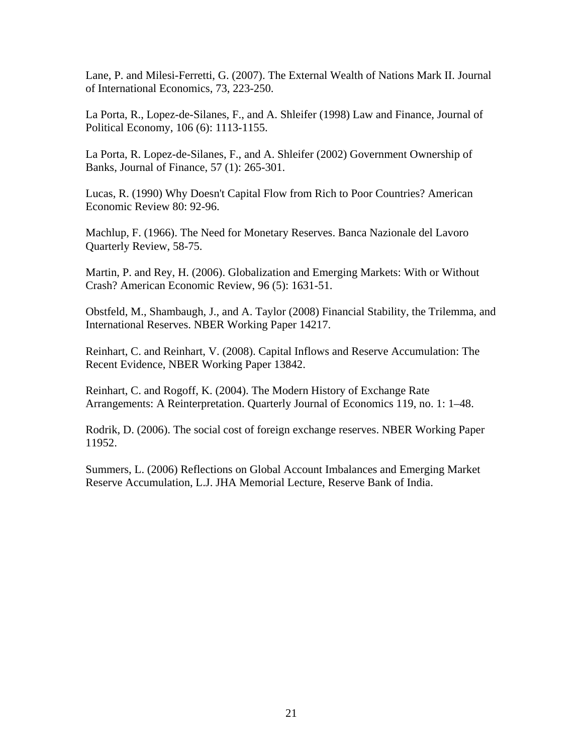Lane, P. and Milesi-Ferretti, G. (2007). The External Wealth of Nations Mark II. Journal of International Economics, 73, 223-250.

La Porta, R., Lopez-de-Silanes, F., and A. Shleifer (1998) Law and Finance, Journal of Political Economy, 106 (6): 1113-1155.

La Porta, R. Lopez-de-Silanes, F., and A. Shleifer (2002) Government Ownership of Banks, Journal of Finance, 57 (1): 265-301.

Lucas, R. (1990) Why Doesn't Capital Flow from Rich to Poor Countries? American Economic Review 80: 92-96.

Machlup, F. (1966). The Need for Monetary Reserves. Banca Nazionale del Lavoro Quarterly Review, 58-75.

Martin, P. and Rey, H. (2006). Globalization and Emerging Markets: With or Without Crash? American Economic Review, 96 (5): 1631-51.

Obstfeld, M., Shambaugh, J., and A. Taylor (2008) Financial Stability, the Trilemma, and International Reserves. NBER Working Paper 14217.

Reinhart, C. and Reinhart, V. (2008). Capital Inflows and Reserve Accumulation: The Recent Evidence, NBER Working Paper 13842.

Reinhart, C. and Rogoff, K. (2004). The Modern History of Exchange Rate Arrangements: A Reinterpretation. Quarterly Journal of Economics 119, no. 1: 1–48.

Rodrik, D. (2006). The social cost of foreign exchange reserves. NBER Working Paper 11952.

Summers, L. (2006) Reflections on Global Account Imbalances and Emerging Market Reserve Accumulation, L.J. JHA Memorial Lecture, Reserve Bank of India.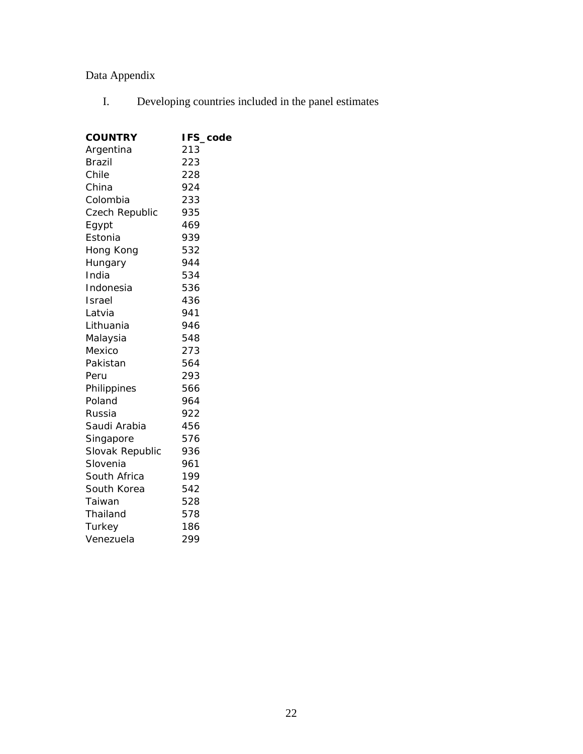## Data Appendix

I. Developing countries included in the panel estimates

| <b>COUNTRY</b>  | IFS_code |
|-----------------|----------|
| Argentina       | 213      |
| <b>Brazil</b>   | 223      |
| Chile           | 228      |
| China           | 924      |
| Colombia        | 233      |
| Czech Republic  | 935      |
| Egypt           | 469      |
| Estonia         | 939      |
| Hong Kong       | 532      |
| Hungary         | 944      |
| India           | 534      |
| Indonesia       | 536      |
| Israel          | 436      |
| Latvia          | 941      |
| Lithuania       | 946      |
| Malaysia        | 548      |
| Mexico          | 273      |
| Pakistan        | 564      |
| Peru            | 293      |
| Philippines     | 566      |
| Poland          | 964      |
| Russia          | 922      |
| Saudi Arabia    | 456      |
| Singapore       | 576      |
| Slovak Republic | 936      |
| Slovenia        | 961      |
| South Africa    | 199      |
| South Korea     | 542      |
| Taiwan          | 528      |
| Thailand        | 578      |
| Turkey          | 186      |
| Venezuela       | 299      |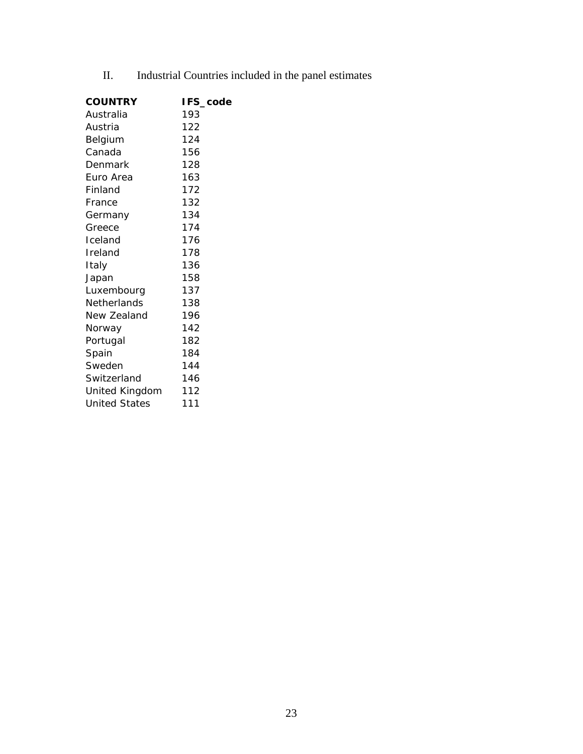II. Industrial Countries included in the panel estimates

| <b>COUNTRY</b>       | IFS_code |
|----------------------|----------|
| Australia            | 193      |
| Austria              | 122      |
| Belgium              | 124      |
| Canada               | 156      |
| Denmark              | 128      |
| Euro Area            | 163      |
| Finland              | 172      |
| France               | 132      |
| Germany              | 134      |
| Greece               | 174      |
| Iceland              | 176      |
| Ireland              | 178      |
| Italy                | 136      |
| Japan                | 158      |
| Luxembourg           | 137      |
| Netherlands          | 138      |
| New Zealand          | 196      |
| Norway               | 142      |
| Portugal             | 182      |
| Spain                | 184      |
| Sweden               | 144      |
| Switzerland          | 146      |
| United Kingdom       | 112      |
| <b>United States</b> | 111      |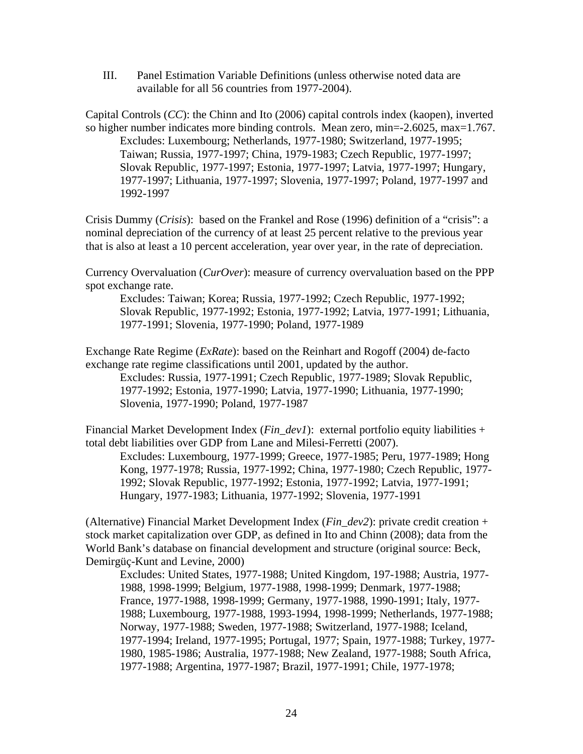III. Panel Estimation Variable Definitions (unless otherwise noted data are available for all 56 countries from 1977-2004).

Capital Controls (*CC*): the Chinn and Ito (2006) capital controls index (kaopen), inverted so higher number indicates more binding controls. Mean zero, min=-2.6025, max=1.767. Excludes: Luxembourg; Netherlands, 1977-1980; Switzerland, 1977-1995; Taiwan; Russia, 1977-1997; China, 1979-1983; Czech Republic, 1977-1997; Slovak Republic, 1977-1997; Estonia, 1977-1997; Latvia, 1977-1997; Hungary, 1977-1997; Lithuania, 1977-1997; Slovenia, 1977-1997; Poland, 1977-1997 and 1992-1997

Crisis Dummy (*Crisis*): based on the Frankel and Rose (1996) definition of a "crisis": a nominal depreciation of the currency of at least 25 percent relative to the previous year that is also at least a 10 percent acceleration, year over year, in the rate of depreciation.

Currency Overvaluation (*CurOver*): measure of currency overvaluation based on the PPP spot exchange rate.

Excludes: Taiwan; Korea; Russia, 1977-1992; Czech Republic, 1977-1992; Slovak Republic, 1977-1992; Estonia, 1977-1992; Latvia, 1977-1991; Lithuania, 1977-1991; Slovenia, 1977-1990; Poland, 1977-1989

Exchange Rate Regime (*ExRate*): based on the Reinhart and Rogoff (2004) de-facto exchange rate regime classifications until 2001, updated by the author.

Excludes: Russia, 1977-1991; Czech Republic, 1977-1989; Slovak Republic, 1977-1992; Estonia, 1977-1990; Latvia, 1977-1990; Lithuania, 1977-1990; Slovenia, 1977-1990; Poland, 1977-1987

Financial Market Development Index (*Fin\_dev1*): external portfolio equity liabilities + total debt liabilities over GDP from Lane and Milesi-Ferretti (2007).

Excludes: Luxembourg, 1977-1999; Greece, 1977-1985; Peru, 1977-1989; Hong Kong, 1977-1978; Russia, 1977-1992; China, 1977-1980; Czech Republic, 1977- 1992; Slovak Republic, 1977-1992; Estonia, 1977-1992; Latvia, 1977-1991; Hungary, 1977-1983; Lithuania, 1977-1992; Slovenia, 1977-1991

(Alternative) Financial Market Development Index (*Fin\_dev2*): private credit creation + stock market capitalization over GDP, as defined in Ito and Chinn (2008); data from the World Bank's database on financial development and structure (original source: Beck, Demirgüç-Kunt and Levine, 2000)

Excludes: United States, 1977-1988; United Kingdom, 197-1988; Austria, 1977- 1988, 1998-1999; Belgium, 1977-1988, 1998-1999; Denmark, 1977-1988; France, 1977-1988, 1998-1999; Germany, 1977-1988, 1990-1991; Italy, 1977- 1988; Luxembourg, 1977-1988, 1993-1994, 1998-1999; Netherlands, 1977-1988; Norway, 1977-1988; Sweden, 1977-1988; Switzerland, 1977-1988; Iceland, 1977-1994; Ireland, 1977-1995; Portugal, 1977; Spain, 1977-1988; Turkey, 1977- 1980, 1985-1986; Australia, 1977-1988; New Zealand, 1977-1988; South Africa, 1977-1988; Argentina, 1977-1987; Brazil, 1977-1991; Chile, 1977-1978;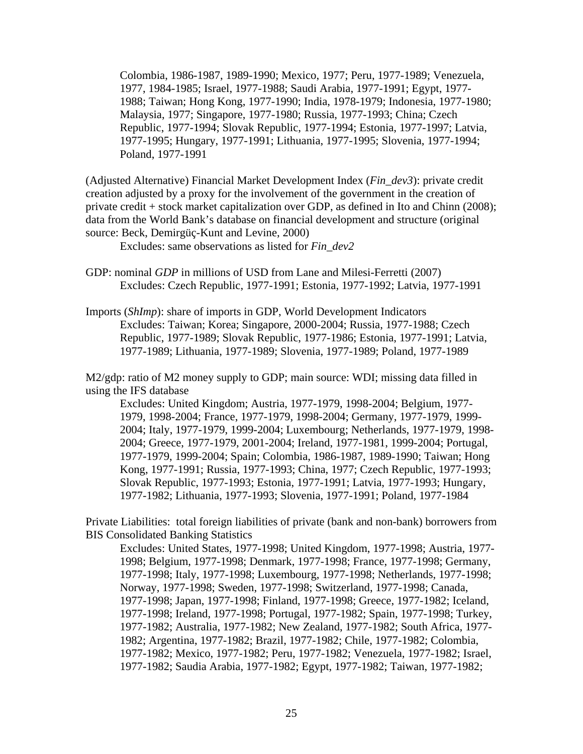Colombia, 1986-1987, 1989-1990; Mexico, 1977; Peru, 1977-1989; Venezuela, 1977, 1984-1985; Israel, 1977-1988; Saudi Arabia, 1977-1991; Egypt, 1977- 1988; Taiwan; Hong Kong, 1977-1990; India, 1978-1979; Indonesia, 1977-1980; Malaysia, 1977; Singapore, 1977-1980; Russia, 1977-1993; China; Czech Republic, 1977-1994; Slovak Republic, 1977-1994; Estonia, 1977-1997; Latvia, 1977-1995; Hungary, 1977-1991; Lithuania, 1977-1995; Slovenia, 1977-1994; Poland, 1977-1991

(Adjusted Alternative) Financial Market Development Index (*Fin\_dev3*): private credit creation adjusted by a proxy for the involvement of the government in the creation of private credit + stock market capitalization over GDP, as defined in Ito and Chinn (2008); data from the World Bank's database on financial development and structure (original source: Beck, Demirgüç-Kunt and Levine, 2000)

Excludes: same observations as listed for *Fin\_dev2*

- GDP: nominal *GDP* in millions of USD from Lane and Milesi-Ferretti (2007) Excludes: Czech Republic, 1977-1991; Estonia, 1977-1992; Latvia, 1977-1991
- Imports (*ShImp*): share of imports in GDP, World Development Indicators Excludes: Taiwan; Korea; Singapore, 2000-2004; Russia, 1977-1988; Czech Republic, 1977-1989; Slovak Republic, 1977-1986; Estonia, 1977-1991; Latvia, 1977-1989; Lithuania, 1977-1989; Slovenia, 1977-1989; Poland, 1977-1989

M2/gdp: ratio of M2 money supply to GDP; main source: WDI; missing data filled in using the IFS database

Excludes: United Kingdom; Austria, 1977-1979, 1998-2004; Belgium, 1977- 1979, 1998-2004; France, 1977-1979, 1998-2004; Germany, 1977-1979, 1999- 2004; Italy, 1977-1979, 1999-2004; Luxembourg; Netherlands, 1977-1979, 1998- 2004; Greece, 1977-1979, 2001-2004; Ireland, 1977-1981, 1999-2004; Portugal, 1977-1979, 1999-2004; Spain; Colombia, 1986-1987, 1989-1990; Taiwan; Hong Kong, 1977-1991; Russia, 1977-1993; China, 1977; Czech Republic, 1977-1993; Slovak Republic, 1977-1993; Estonia, 1977-1991; Latvia, 1977-1993; Hungary, 1977-1982; Lithuania, 1977-1993; Slovenia, 1977-1991; Poland, 1977-1984

Private Liabilities: total foreign liabilities of private (bank and non-bank) borrowers from BIS Consolidated Banking Statistics

Excludes: United States, 1977-1998; United Kingdom, 1977-1998; Austria, 1977- 1998; Belgium, 1977-1998; Denmark, 1977-1998; France, 1977-1998; Germany, 1977-1998; Italy, 1977-1998; Luxembourg, 1977-1998; Netherlands, 1977-1998; Norway, 1977-1998; Sweden, 1977-1998; Switzerland, 1977-1998; Canada, 1977-1998; Japan, 1977-1998; Finland, 1977-1998; Greece, 1977-1982; Iceland, 1977-1998; Ireland, 1977-1998; Portugal, 1977-1982; Spain, 1977-1998; Turkey, 1977-1982; Australia, 1977-1982; New Zealand, 1977-1982; South Africa, 1977- 1982; Argentina, 1977-1982; Brazil, 1977-1982; Chile, 1977-1982; Colombia, 1977-1982; Mexico, 1977-1982; Peru, 1977-1982; Venezuela, 1977-1982; Israel, 1977-1982; Saudia Arabia, 1977-1982; Egypt, 1977-1982; Taiwan, 1977-1982;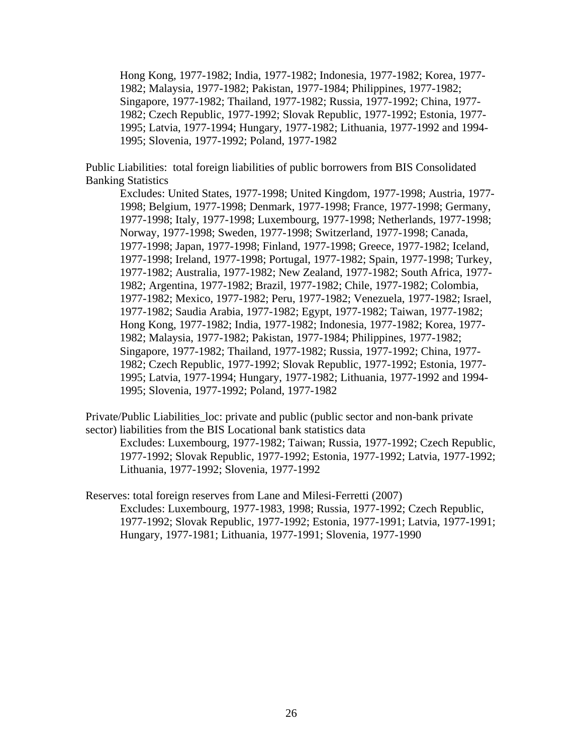Hong Kong, 1977-1982; India, 1977-1982; Indonesia, 1977-1982; Korea, 1977- 1982; Malaysia, 1977-1982; Pakistan, 1977-1984; Philippines, 1977-1982; Singapore, 1977-1982; Thailand, 1977-1982; Russia, 1977-1992; China, 1977- 1982; Czech Republic, 1977-1992; Slovak Republic, 1977-1992; Estonia, 1977- 1995; Latvia, 1977-1994; Hungary, 1977-1982; Lithuania, 1977-1992 and 1994- 1995; Slovenia, 1977-1992; Poland, 1977-1982

Public Liabilities: total foreign liabilities of public borrowers from BIS Consolidated Banking Statistics

Excludes: United States, 1977-1998; United Kingdom, 1977-1998; Austria, 1977- 1998; Belgium, 1977-1998; Denmark, 1977-1998; France, 1977-1998; Germany, 1977-1998; Italy, 1977-1998; Luxembourg, 1977-1998; Netherlands, 1977-1998; Norway, 1977-1998; Sweden, 1977-1998; Switzerland, 1977-1998; Canada, 1977-1998; Japan, 1977-1998; Finland, 1977-1998; Greece, 1977-1982; Iceland, 1977-1998; Ireland, 1977-1998; Portugal, 1977-1982; Spain, 1977-1998; Turkey, 1977-1982; Australia, 1977-1982; New Zealand, 1977-1982; South Africa, 1977- 1982; Argentina, 1977-1982; Brazil, 1977-1982; Chile, 1977-1982; Colombia, 1977-1982; Mexico, 1977-1982; Peru, 1977-1982; Venezuela, 1977-1982; Israel, 1977-1982; Saudia Arabia, 1977-1982; Egypt, 1977-1982; Taiwan, 1977-1982; Hong Kong, 1977-1982; India, 1977-1982; Indonesia, 1977-1982; Korea, 1977- 1982; Malaysia, 1977-1982; Pakistan, 1977-1984; Philippines, 1977-1982; Singapore, 1977-1982; Thailand, 1977-1982; Russia, 1977-1992; China, 1977- 1982; Czech Republic, 1977-1992; Slovak Republic, 1977-1992; Estonia, 1977- 1995; Latvia, 1977-1994; Hungary, 1977-1982; Lithuania, 1977-1992 and 1994- 1995; Slovenia, 1977-1992; Poland, 1977-1982

Private/Public Liabilities\_loc: private and public (public sector and non-bank private sector) liabilities from the BIS Locational bank statistics data

Excludes: Luxembourg, 1977-1982; Taiwan; Russia, 1977-1992; Czech Republic, 1977-1992; Slovak Republic, 1977-1992; Estonia, 1977-1992; Latvia, 1977-1992; Lithuania, 1977-1992; Slovenia, 1977-1992

Reserves: total foreign reserves from Lane and Milesi-Ferretti (2007) Excludes: Luxembourg, 1977-1983, 1998; Russia, 1977-1992; Czech Republic, 1977-1992; Slovak Republic, 1977-1992; Estonia, 1977-1991; Latvia, 1977-1991; Hungary, 1977-1981; Lithuania, 1977-1991; Slovenia, 1977-1990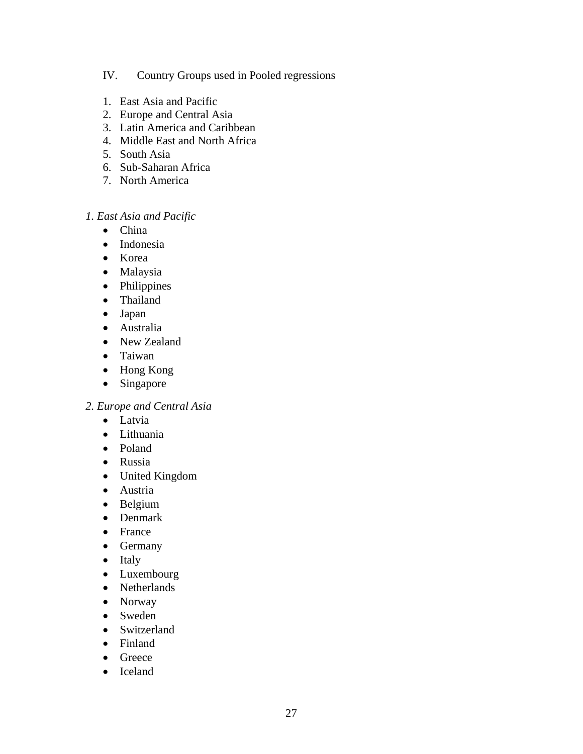## IV. Country Groups used in Pooled regressions

- 1. East Asia and Pacific
- 2. Europe and Central Asia
- 3. Latin America and Caribbean
- 4. Middle East and North Africa
- 5. South Asia
- 6. Sub-Saharan Africa
- 7. North America

## *1. East Asia and Pacific*

- China
- Indonesia
- Korea
- Malaysia
- Philippines
- Thailand
- Japan
- Australia
- New Zealand
- Taiwan
- Hong Kong
- Singapore

#### *2. Europe and Central Asia*

- Latvia
- Lithuania
- Poland
- Russia
- United Kingdom
- Austria
- Belgium
- Denmark
- France
- Germany
- Italy
- Luxembourg
- Netherlands
- Norway
- Sweden
- Switzerland
- Finland
- Greece
- Iceland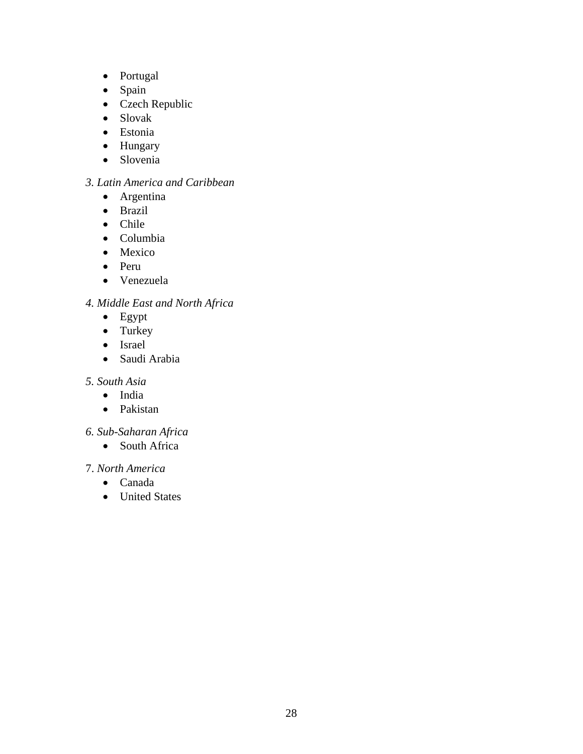- Portugal
- Spain
- Czech Republic
- Slovak
- Estonia
- Hungary
- Slovenia

## *3. Latin America and Caribbean*

- Argentina
- Brazil
- Chile
- Columbia
- Mexico
- Peru
- Venezuela

## *4. Middle East and North Africa*

- Egypt
- Turkey
- Israel
- Saudi Arabia

### *5. South Asia*

- India
- Pakistan

## *6. Sub-Saharan Africa*

• South Africa

## 7. *North America*

- Canada
- United States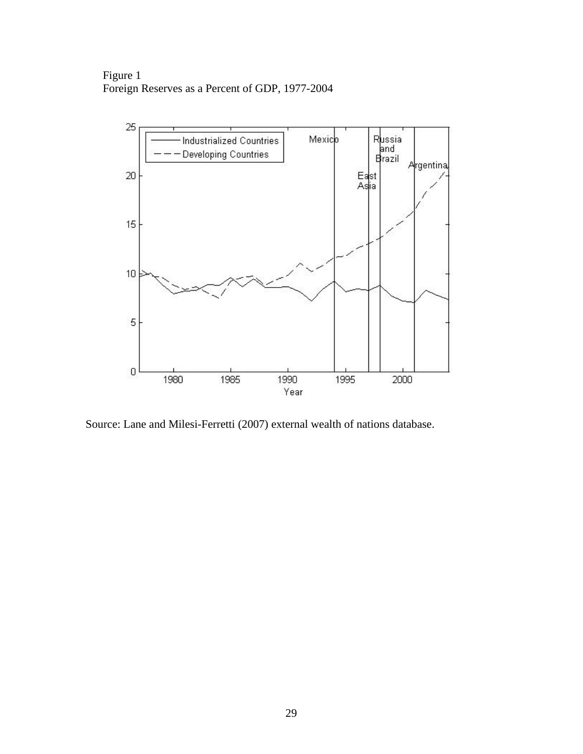Figure 1 Foreign Reserves as a Percent of GDP, 1977-2004



Source: Lane and Milesi-Ferretti (2007) external wealth of nations database.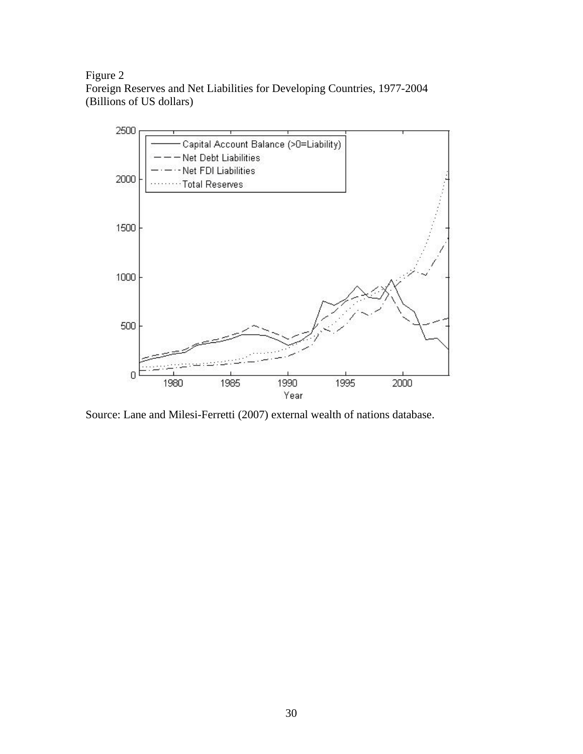Figure 2 Foreign Reserves and Net Liabilities for Developing Countries, 1977-2004 (Billions of US dollars)



Source: Lane and Milesi-Ferretti (2007) external wealth of nations database.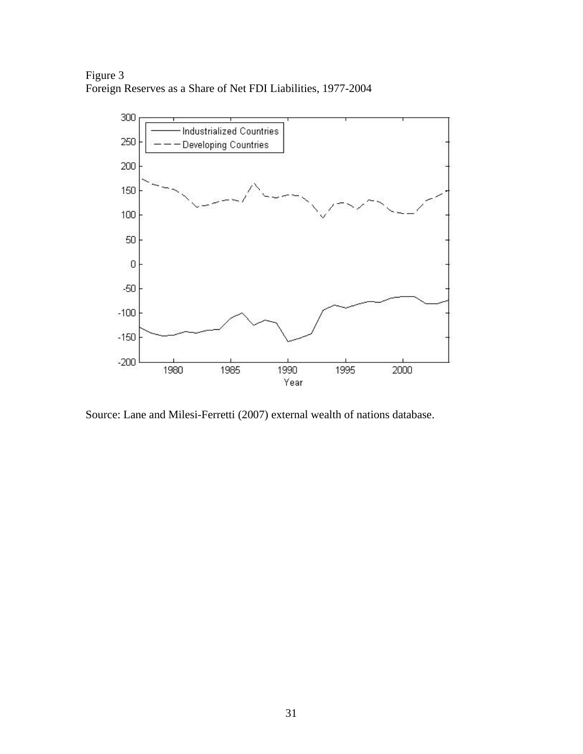Figure 3 Foreign Reserves as a Share of Net FDI Liabilities, 1977-2004



Source: Lane and Milesi-Ferretti (2007) external wealth of nations database.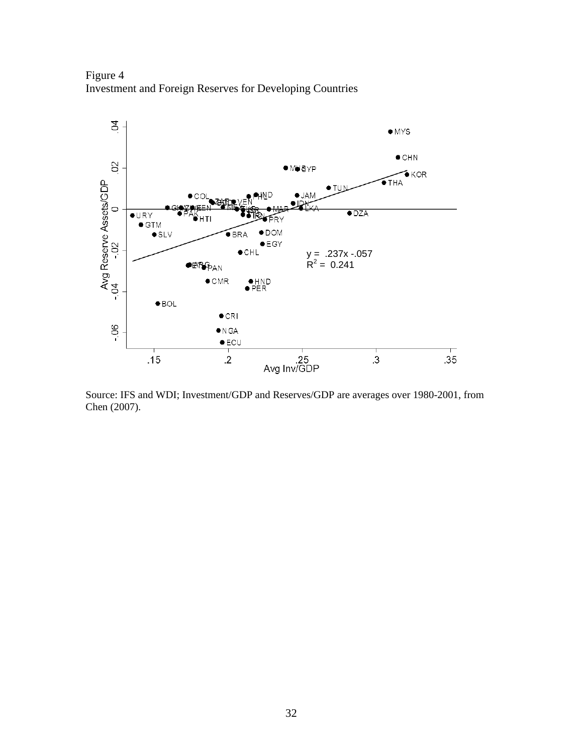Figure 4 Investment and Foreign Reserves for Developing Countries



Source: IFS and WDI; Investment/GDP and Reserves/GDP are averages over 1980-2001, from Chen (2007).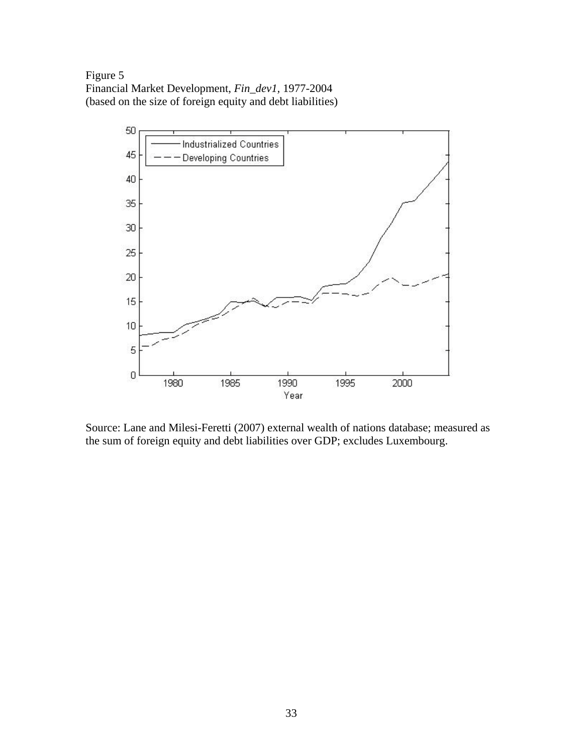Figure 5 Financial Market Development, *Fin\_dev1,* 1977-2004 (based on the size of foreign equity and debt liabilities)



Source: Lane and Milesi-Feretti (2007) external wealth of nations database; measured as the sum of foreign equity and debt liabilities over GDP; excludes Luxembourg.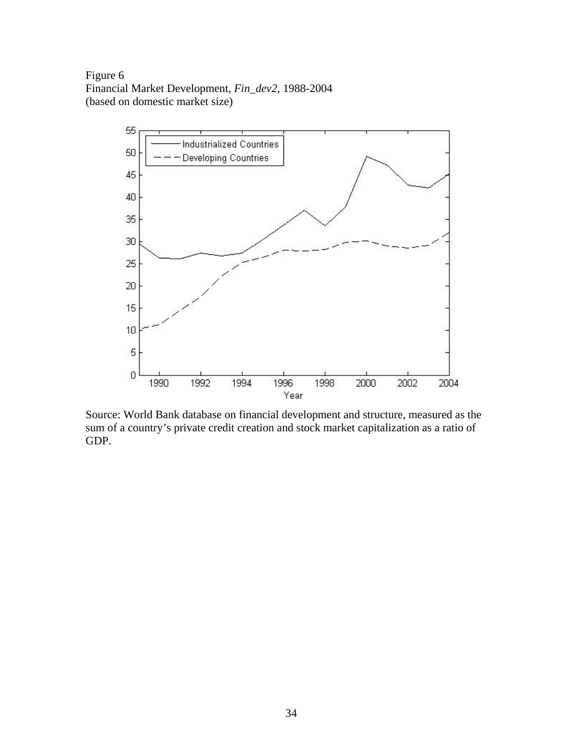Figure 6 Financial Market Development, *Fin\_dev2,* 1988-2004 (based on domestic market size)



Source: World Bank database on financial development and structure, measured as the sum of a country's private credit creation and stock market capitalization as a ratio of GDP.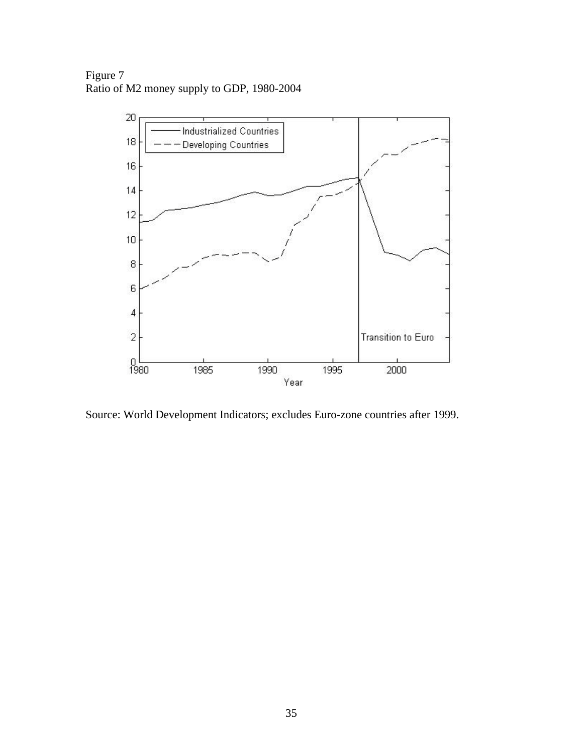Figure 7 Ratio of M2 money supply to GDP, 1980-2004



Source: World Development Indicators; excludes Euro-zone countries after 1999.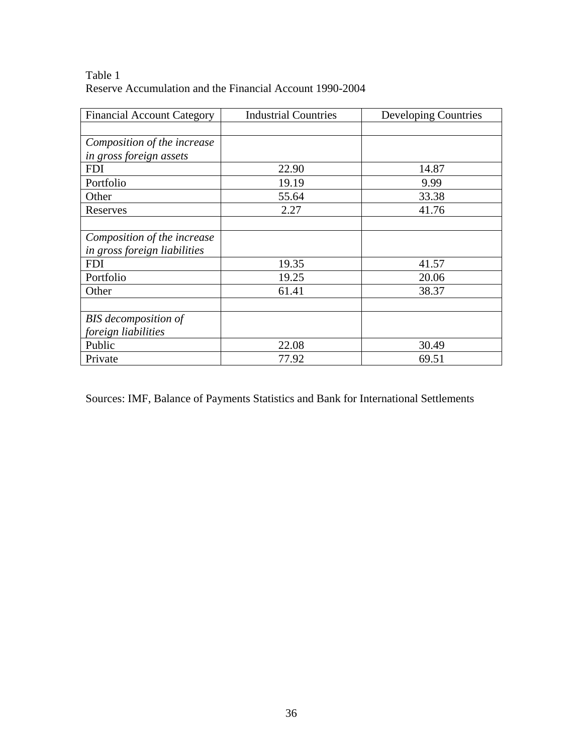| Table 1                                                  |
|----------------------------------------------------------|
| Reserve Accumulation and the Financial Account 1990-2004 |

| <b>Financial Account Category</b> | <b>Industrial Countries</b> | Developing Countries |
|-----------------------------------|-----------------------------|----------------------|
|                                   |                             |                      |
| Composition of the increase       |                             |                      |
| in gross foreign assets           |                             |                      |
| <b>FDI</b>                        | 22.90                       | 14.87                |
| Portfolio                         | 19.19                       | 9.99                 |
| Other                             | 55.64                       | 33.38                |
| Reserves                          | 2.27                        | 41.76                |
|                                   |                             |                      |
| Composition of the increase       |                             |                      |
| in gross foreign liabilities      |                             |                      |
| <b>FDI</b>                        | 19.35                       | 41.57                |
| Portfolio                         | 19.25                       | 20.06                |
| Other                             | 61.41                       | 38.37                |
|                                   |                             |                      |
| <b>BIS</b> decomposition of       |                             |                      |
| foreign liabilities               |                             |                      |
| Public                            | 22.08                       | 30.49                |
| Private                           | 77.92                       | 69.51                |

Sources: IMF, Balance of Payments Statistics and Bank for International Settlements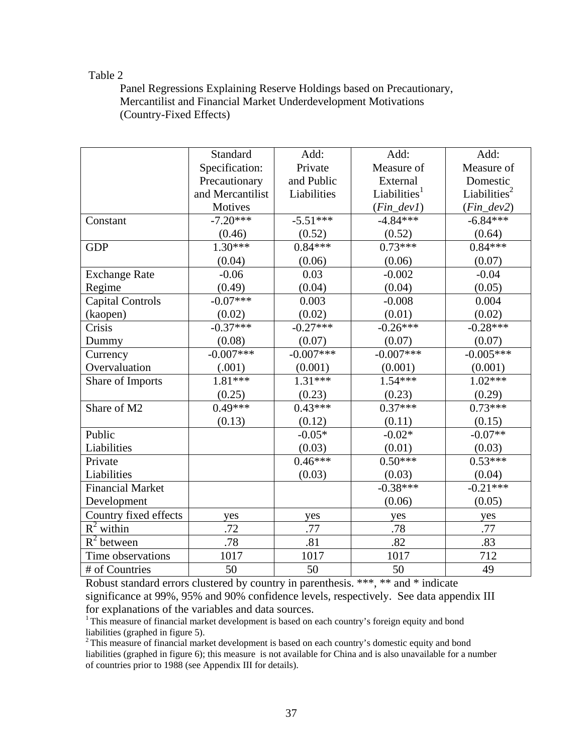#### Table 2

Panel Regressions Explaining Reserve Holdings based on Precautionary, Mercantilist and Financial Market Underdevelopment Motivations (Country-Fixed Effects)

|                         | Standard         | Add:        | Add:                     | Add:                     |
|-------------------------|------------------|-------------|--------------------------|--------------------------|
|                         | Specification:   | Private     | Measure of               | Measure of               |
|                         | Precautionary    | and Public  | External                 | Domestic                 |
|                         | and Mercantilist | Liabilities | Liabilities <sup>1</sup> | Liabilities <sup>2</sup> |
|                         | Motives          |             | $(Fin\_dev1)$            | $(Fin\_dev2)$            |
| Constant                | $-7.20***$       | $-5.51***$  | $-4.84***$               | $-6.84***$               |
|                         | (0.46)           | (0.52)      | (0.52)                   | (0.64)                   |
| <b>GDP</b>              | $1.30***$        | $0.84***$   | $0.73***$                | $0.84***$                |
|                         | (0.04)           | (0.06)      | (0.06)                   | (0.07)                   |
| <b>Exchange Rate</b>    | $-0.06$          | 0.03        | $-0.002$                 | $-0.04$                  |
| Regime                  | (0.49)           | (0.04)      | (0.04)                   | (0.05)                   |
| <b>Capital Controls</b> | $-0.07***$       | 0.003       | $-0.008$                 | 0.004                    |
| (kaopen)                | (0.02)           | (0.02)      | (0.01)                   | (0.02)                   |
| Crisis                  | $-0.37***$       | $-0.27***$  | $-0.26***$               | $-0.28***$               |
| Dummy                   | (0.08)           | (0.07)      | (0.07)                   | (0.07)                   |
| Currency                | $-0.007***$      | $-0.007***$ | $-0.007***$              | $-0.005***$              |
| Overvaluation           | (.001)           | (0.001)     | (0.001)                  | (0.001)                  |
| Share of Imports        | $1.81***$        | $1.31***$   | $1.54***$                | $1.02***$                |
|                         | (0.25)           | (0.23)      | (0.23)                   | (0.29)                   |
| Share of M2             | $0.49***$        | $0.43***$   | $0.37***$                | $0.73***$                |
|                         | (0.13)           | (0.12)      | (0.11)                   | (0.15)                   |
| Public                  |                  | $-0.05*$    | $-0.02*$                 | $-0.07**$                |
| Liabilities             |                  | (0.03)      | (0.01)                   | (0.03)                   |
| Private                 |                  | $0.46***$   | $0.50***$                | $0.53***$                |
| Liabilities             |                  | (0.03)      | (0.03)                   | (0.04)                   |
| <b>Financial Market</b> |                  |             | $-0.38***$               | $-0.21***$               |
| Development             |                  |             | (0.06)                   | (0.05)                   |
| Country fixed effects   | yes              | yes         | yes                      | yes                      |
| $R^2$ within            | .72              | .77         | .78                      | .77                      |
| $R^2$ between           | .78              | .81         | .82                      | .83                      |
| Time observations       | 1017             | 1017        | 1017                     | 712                      |
| # of Countries          | 50               | 50          | 50                       | 49                       |

Robust standard errors clustered by country in parenthesis. \*\*\*, \*\* and \* indicate significance at 99%, 95% and 90% confidence levels, respectively. See data appendix III for explanations of the variables and data sources.

<sup>1</sup> This measure of financial market development is based on each country's foreign equity and bond

liabilities (graphed in figure 5).<br><sup>2</sup> This measure of financial market development is based on each country's domestic equity and bond liabilities (graphed in figure 6); this measure is not available for China and is also unavailable for a number of countries prior to 1988 (see Appendix III for details).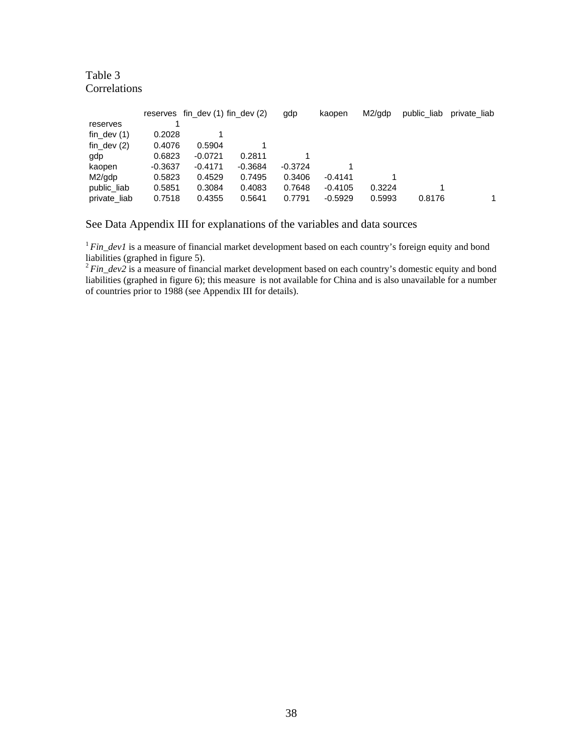#### Table 3 **Correlations**

|               |           | reserves fin dev $(1)$ fin dev $(2)$ |           | gdp       | kaopen    | M2/gdp | public liab | private liab |
|---------------|-----------|--------------------------------------|-----------|-----------|-----------|--------|-------------|--------------|
| reserves      |           |                                      |           |           |           |        |             |              |
| fin dev $(1)$ | 0.2028    |                                      |           |           |           |        |             |              |
| fin dev $(2)$ | 0.4076    | 0.5904                               |           |           |           |        |             |              |
| gdp           | 0.6823    | $-0.0721$                            | 0.2811    |           |           |        |             |              |
| kaopen        | $-0.3637$ | $-0.4171$                            | $-0.3684$ | $-0.3724$ |           |        |             |              |
| M2/gdp        | 0.5823    | 0.4529                               | 0.7495    | 0.3406    | $-0.4141$ |        |             |              |
| public liab   | 0.5851    | 0.3084                               | 0.4083    | 0.7648    | $-0.4105$ | 0.3224 |             |              |
| private liab  | 0.7518    | 0.4355                               | 0.5641    | 0.7791    | $-0.5929$ | 0.5993 | 0.8176      |              |

See Data Appendix III for explanations of the variables and data sources

<sup>1</sup> Fin\_dev1 is a measure of financial market development based on each country's foreign equity and bond liabilities (graphed in figure 5).<br><sup>2</sup>*Fin\_dev2* is a measure of financial market development based on each country's domestic equity and bond

liabilities (graphed in figure 6); this measure is not available for China and is also unavailable for a number of countries prior to 1988 (see Appendix III for details).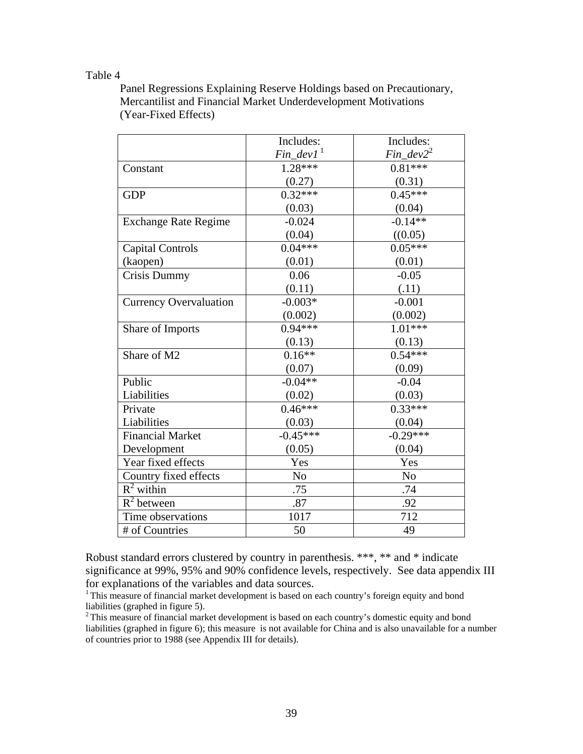#### Table 4

Panel Regressions Explaining Reserve Holdings based on Precautionary, Mercantilist and Financial Market Underdevelopment Motivations (Year-Fixed Effects)

|                               | Includes:                | Includes:      |
|-------------------------------|--------------------------|----------------|
|                               | $Fin\_dev1$ <sup>1</sup> | $Fin\_dev2^2$  |
| Constant                      | $1.28***$                | $0.81***$      |
|                               | (0.27)                   | (0.31)         |
| <b>GDP</b>                    | $0.32***$                | $0.45***$      |
|                               | (0.03)                   | (0.04)         |
| <b>Exchange Rate Regime</b>   | $-0.024$                 | $-0.14**$      |
|                               | (0.04)                   | ((0.05)        |
| <b>Capital Controls</b>       | $0.04***$                | $0.05***$      |
| (kaopen)                      | (0.01)                   | (0.01)         |
| <b>Crisis Dummy</b>           | 0.06                     | $-0.05$        |
|                               | (0.11)                   | (.11)          |
| <b>Currency Overvaluation</b> | $-0.003*$                | $-0.001$       |
|                               | (0.002)                  | (0.002)        |
| Share of Imports              | $0.94***$                | $1.01***$      |
|                               | (0.13)                   | (0.13)         |
| Share of M2                   | $0.16**$                 | $0.54***$      |
|                               | (0.07)                   | (0.09)         |
| Public                        | $-0.04**$                | $-0.04$        |
| Liabilities                   | (0.02)                   | (0.03)         |
| Private                       | $0.46***$                | $0.33***$      |
| Liabilities                   | (0.03)                   | (0.04)         |
| <b>Financial Market</b>       | $-0.45***$               | $-0.29***$     |
| Development                   | (0.05)                   | (0.04)         |
| Year fixed effects            | Yes                      | Yes            |
| Country fixed effects         | N <sub>o</sub>           | N <sub>o</sub> |
| $R^2$ within                  | .75                      | .74            |
| $R^2$ between                 | .87                      | .92            |
| Time observations             | 1017                     | 712            |
| # of Countries                | 50                       | 49             |

Robust standard errors clustered by country in parenthesis. \*\*\*, \*\* and \* indicate significance at 99%, 95% and 90% confidence levels, respectively. See data appendix III for explanations of the variables and data sources.

<sup>1</sup> This measure of financial market development is based on each country's foreign equity and bond liabilities (graphed in figure 5).

 $2$ This measure of financial market development is based on each country's domestic equity and bond liabilities (graphed in figure 6); this measure is not available for China and is also unavailable for a number of countries prior to 1988 (see Appendix III for details).